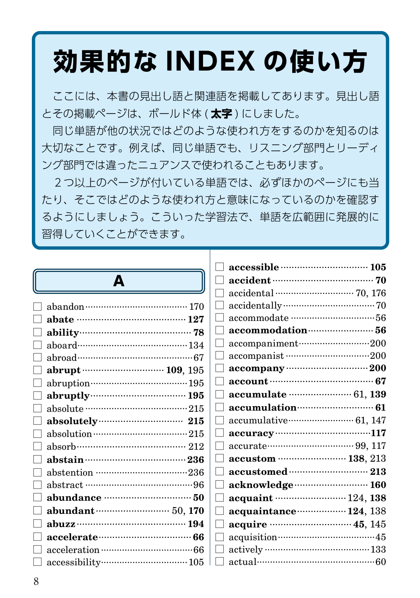# **効果的な INDEX の使い方**

 ここには、本書の見出し語と関連語を掲載してあります。見出し語 とその掲載ページは、ボールド体 ( **太字** ) にしました。

 同じ単語が他の状況ではどのような使われ方をするのかを知るのは 大切なことです。例えば、同じ単語でも、リスニング部門とリーディ ング部門では違ったニュアンスで使われることもあります。

 2つ以上のページが付いている単語では、必ずほかのページにも当 たり、そこではどのような使われ方と意味になっているのかを確認す るようにしましょう。こういった学習法で、単語を広範囲に発展的に 習得していくことができます。

# A

| abate ……………………………… 127    |
|---------------------------|
| ability 78                |
|                           |
| abroad……………………………………67    |
| abrupt ……………………… 109, 195 |
|                           |
|                           |
|                           |
| absolutely 215            |
|                           |
|                           |
|                           |
|                           |
|                           |
|                           |
|                           |
|                           |
|                           |
|                           |
|                           |
|                           |

|               | accessible manufactured 105                 |
|---------------|---------------------------------------------|
|               |                                             |
|               |                                             |
|               |                                             |
|               |                                             |
|               |                                             |
|               | accompaniment200                            |
|               |                                             |
|               | $\text{accepting}$ accompany $\cdots$       |
|               | account ……………………………… 67                     |
|               |                                             |
| - 1           | accumulation (61)                           |
|               | accumulative…………………… 61, 147                |
| $\mathcal{L}$ |                                             |
|               |                                             |
|               | accustom  138, 213                          |
|               |                                             |
| - 1           |                                             |
| - 1           | acquaint  124, 138                          |
|               | acquaintance ····················· 124, 138 |
|               | acquire manufacture 45, 145                 |
|               | acquisition………………………………45                   |
|               |                                             |
|               | actual…………………………………………… 60                  |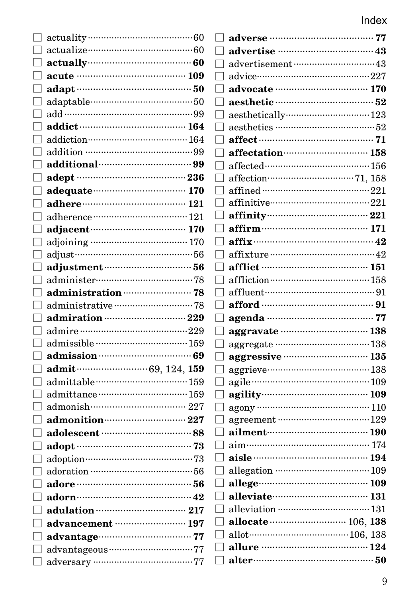| actually (60)                       |
|-------------------------------------|
| acute …………………………………… 109            |
|                                     |
|                                     |
|                                     |
| addict ………………………………… 164            |
|                                     |
|                                     |
| additional manual substitutions and |
| adept ………………………………… 236             |
| adequate (170)                      |
|                                     |
|                                     |
| adjacent (170)                      |
|                                     |
|                                     |
| adjustment (1997) 56                |
|                                     |
| administration manufacturers 78     |
|                                     |
| admiration 229                      |
|                                     |
| admissible ……………………………… 159         |
| admission manual 69                 |
| admit (29, 124, 159)                |
| admittable……………………………… 159          |
|                                     |
|                                     |
| admonition manual and 227           |
| adolescent manufactured 88          |
|                                     |
|                                     |
|                                     |
|                                     |
|                                     |
|                                     |
| advancement …………………… 197            |
|                                     |
|                                     |
|                                     |

|   | adverse ……………………………… 77       |  |
|---|-------------------------------|--|
|   | advertise ………………………………43      |  |
|   |                               |  |
|   |                               |  |
|   | advocate ………………………… 170       |  |
|   |                               |  |
| Г |                               |  |
|   | aesthetics …………………………………………52 |  |
| п |                               |  |
|   | affectation (258)             |  |
|   |                               |  |
|   |                               |  |
| П |                               |  |
|   | affinitive…………………………………221    |  |
|   |                               |  |
|   |                               |  |
| П | affix $\cdots$ 42             |  |
|   |                               |  |
|   | afflict …………………………………… 151    |  |
|   |                               |  |
|   | affluent……………………………………91      |  |
|   |                               |  |
|   | afford ………………………………………… 91    |  |
|   | agenda ……………………………… 77        |  |
| Г | aggravate ………………………… 138      |  |
|   |                               |  |
| П | aggressive manual and 135     |  |
|   |                               |  |
|   |                               |  |
|   |                               |  |
| П |                               |  |
|   |                               |  |
| Г | ailment (190                  |  |
|   |                               |  |
|   |                               |  |
|   |                               |  |
|   | allege (109)                  |  |
|   | alleviate (131)               |  |
|   |                               |  |
| П | allocate  106, 138            |  |
|   |                               |  |
|   |                               |  |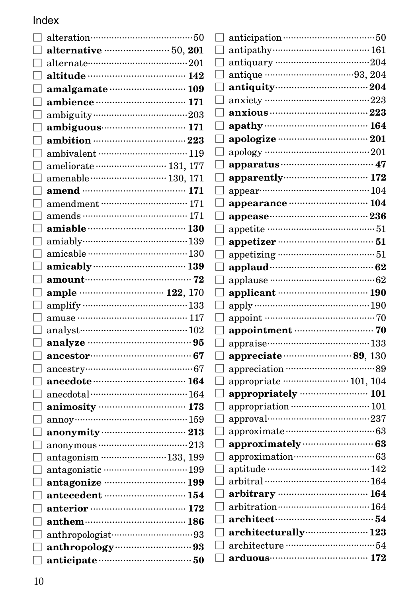#### Index  $\overline{\phantom{0}}$

| alternative manually 50, 201 |  |
|------------------------------|--|
|                              |  |
| altitude …………………………… 142     |  |
| amalgamate manufactured 109  |  |
|                              |  |
|                              |  |
|                              |  |
|                              |  |
| ambivalent ……………………………… 119  |  |
| ameliorate  131, 177         |  |
|                              |  |
| amend ……………………………… 171       |  |
|                              |  |
|                              |  |
|                              |  |
| amiably…………………………………139      |  |
|                              |  |
|                              |  |
|                              |  |
| ample <b>manual</b> 122, 170 |  |
|                              |  |
|                              |  |
|                              |  |
|                              |  |
| ancestor (27)                |  |
| $\arcsin 67$                 |  |
| anecdote (164)               |  |
| $anecdota$ <sup>164</sup>    |  |
|                              |  |
|                              |  |
| $anonymity$ $213$            |  |
| $\text{anonymous}\dots$      |  |
| antagonism 133, 199          |  |
| antagonistic manual 199      |  |
| antagonize ………………………… 199    |  |
| antecedent manufacturers 154 |  |
|                              |  |
|                              |  |
|                              |  |
| anthropology ………………………… 93   |  |
| anticipate manufactured 50   |  |
|                              |  |

| П                 |                                                        |
|-------------------|--------------------------------------------------------|
|                   | antiquary …………………………………204                             |
| П                 |                                                        |
|                   | antiquity 304                                          |
| П                 | anxiety …………………………………223                               |
| П                 |                                                        |
| П                 | apathy …………………………………… 164                              |
| П                 | apologize …………………………… 201                              |
| п                 | apology ………………………………………… 201                           |
| П                 |                                                        |
| П                 | apparently manual 172                                  |
|                   |                                                        |
| ΓТ                | appearance manufactured 104                            |
|                   |                                                        |
| П                 |                                                        |
| П                 |                                                        |
| П                 |                                                        |
|                   |                                                        |
| $\vert \ \ \vert$ | applause ……………………………………… 62                            |
| Г                 | applicant ……………………………… 190                             |
| $\Box$            | apply ………………………………………190                               |
|                   |                                                        |
| П                 |                                                        |
| $\Box$            | appraise………………………………133                                |
| П                 | appreciate ··································· 89, 130 |
| U                 |                                                        |
| П                 | appropriate …………………… 101, 104                          |
|                   | appropriately  101                                     |
| П                 |                                                        |
| П                 | approval………………………………237                                |
| $\mathsf{L}$      |                                                        |
|                   |                                                        |
|                   | approximation……………………………63                             |
|                   | aptitude ………………………………… 142                             |
| Γı                | arbitral …………………………………… 164                            |
|                   | arbitrary ………………………… 164                               |
|                   |                                                        |
| П.                |                                                        |
|                   | architecturally (23)                                   |
|                   |                                                        |
| П.                | arduous 172                                            |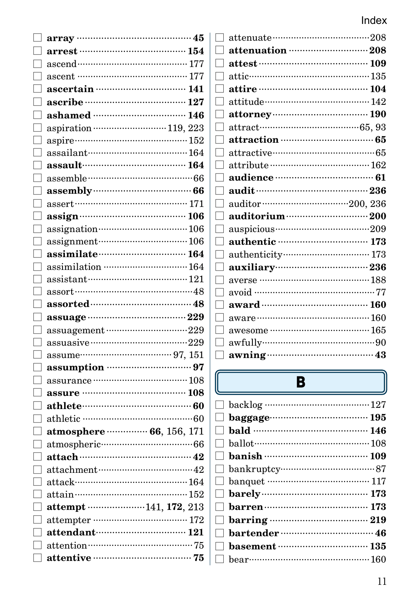| arrest ……………………………… 154                             |
|-----------------------------------------------------|
|                                                     |
| ascent ………………………………… 177                            |
|                                                     |
| ascribe ……………………………… 127                            |
|                                                     |
| aspiration ································119, 223 |
|                                                     |
|                                                     |
| $assault$ $164$                                     |
|                                                     |
|                                                     |
|                                                     |
|                                                     |
|                                                     |
| assignment (106)                                    |
|                                                     |
| assimilation  164                                   |
|                                                     |
|                                                     |
|                                                     |
|                                                     |
|                                                     |
| assuagement 229                                     |
|                                                     |
|                                                     |
| assumption manual manual 97                         |
|                                                     |
|                                                     |
| $\mathbf{a}$ thlete $\cdots$                        |
|                                                     |
| atmosphere ·············· 66, 156, 171              |
|                                                     |
|                                                     |
| attachment……………………………42                             |
| attack……………………………………164                             |
|                                                     |
| attempt 141, 172, 213                               |
|                                                     |
| attendant………………………… 121                             |
| attentive manual contracts and 75                   |

| attenuation manually 208                         |
|--------------------------------------------------|
|                                                  |
|                                                  |
| attire ………………………………… 104                         |
|                                                  |
| attorney (190)                                   |
|                                                  |
| attraction manually 65                           |
|                                                  |
|                                                  |
|                                                  |
|                                                  |
| auditor ································200, 236 |
| auditorium ··································200 |
|                                                  |
| authentic manuscritting 173                      |
| authenticity………………………… 173                       |
|                                                  |
| averse …………………………………188                          |
| avoid ……………………………………77                           |
| award ……………………………… 160                           |
|                                                  |
|                                                  |
|                                                  |
|                                                  |

# $\overline{\mathbf{B}}$

| $\Box$ baggage $\Box$              |
|------------------------------------|
|                                    |
| $\Box$ ballot $\Box$ ballot $\Box$ |
|                                    |
| $\Box$ bankruptcy……………………………87     |
|                                    |
|                                    |
| $\Box$ barren $\cdots$ 173         |
|                                    |
|                                    |
| $\Box$ basement ……………………………… 135   |
|                                    |
|                                    |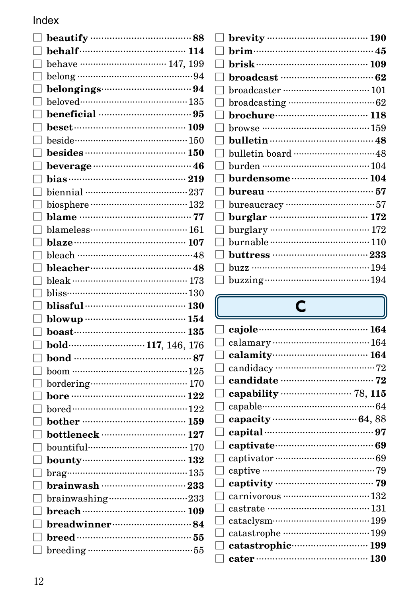|                 | behalf (114                                           |  |
|-----------------|-------------------------------------------------------|--|
|                 | behave  147, 199                                      |  |
|                 |                                                       |  |
|                 |                                                       |  |
| $\Box$          |                                                       |  |
|                 |                                                       |  |
|                 | beset (109)                                           |  |
|                 | beside……………………………………150                               |  |
|                 |                                                       |  |
|                 |                                                       |  |
|                 |                                                       |  |
|                 |                                                       |  |
|                 |                                                       |  |
|                 |                                                       |  |
|                 |                                                       |  |
|                 |                                                       |  |
|                 |                                                       |  |
|                 | bleacher………………………………48                                |  |
|                 |                                                       |  |
|                 |                                                       |  |
|                 | blissful ……………………………… 130                             |  |
| $\vert$ $\vert$ |                                                       |  |
|                 |                                                       |  |
|                 | bold ···································117, 146, 176 |  |
|                 | bond ……………………………………… 87                               |  |
|                 | $\frac{1}{25}$                                        |  |
|                 |                                                       |  |
|                 | bore …………………………………… 122                               |  |
|                 |                                                       |  |
|                 | bother ……………………………… 159                               |  |
|                 |                                                       |  |
|                 | bountiful……………………………… 170                             |  |
|                 | $\frac{132}{132}$                                     |  |
|                 |                                                       |  |
|                 | brainwash ………………………… 233                              |  |
|                 |                                                       |  |
|                 | breach ……………………………… 109                               |  |
|                 | breadwinner……………………… 84                               |  |
|                 |                                                       |  |
| $\mathbf{L}$    |                                                       |  |
|                 |                                                       |  |

| brevity …………………………………… 190 |
|----------------------------|
|                            |
| brisk …………………………………… 109   |
|                            |
|                            |
|                            |
| brochure………………………… 118     |
| browse …………………………………… 159  |
|                            |
|                            |
| burden ………………………………… 104   |
| burdensome  104            |
|                            |
|                            |
|                            |
|                            |
|                            |
|                            |
|                            |
|                            |
|                            |

U

# $\overline{C}$

|              | cajole (2008) 164         |
|--------------|---------------------------|
|              |                           |
|              |                           |
| $\Box$       |                           |
| H            |                           |
|              |                           |
| H            |                           |
|              |                           |
|              | capital …………………………………… 97 |
| $\mathbf{I}$ |                           |
| $\mathbf{I}$ |                           |
|              |                           |
|              |                           |
|              |                           |
|              |                           |
|              | cataclysm……………………………199   |
|              | catastrophe 199           |
|              |                           |
|              | cater …………………………………… 130  |
|              |                           |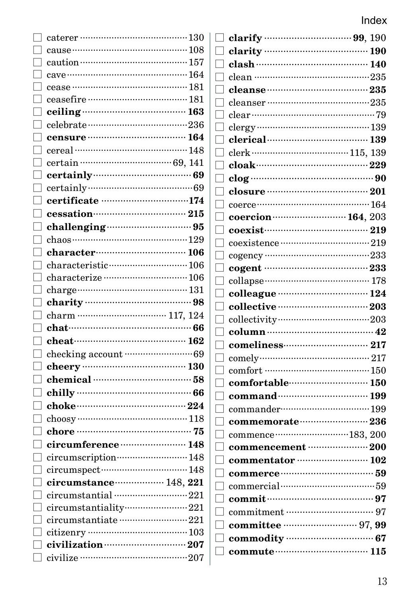|              | caterer …………………………………130                |
|--------------|-----------------------------------------|
|              |                                         |
|              |                                         |
|              |                                         |
|              |                                         |
| П            |                                         |
|              |                                         |
|              |                                         |
|              |                                         |
|              |                                         |
|              |                                         |
|              | certainly (2008) 69                     |
|              |                                         |
| H            | certificate 174                         |
| H            | cessation (215)                         |
|              |                                         |
|              |                                         |
|              |                                         |
|              |                                         |
| П            | characterize  106                       |
|              |                                         |
|              |                                         |
|              |                                         |
| П            | chat………………………………………… 66                 |
| $\Box$       |                                         |
| $\mathbf{L}$ |                                         |
|              |                                         |
| П            |                                         |
|              |                                         |
| П            |                                         |
|              |                                         |
|              |                                         |
|              | circumference  148                      |
|              | circumscription……………………148              |
|              |                                         |
|              | circumstance ················· 148, 221 |
|              | circumstantial 221                      |
|              | circumstantiality221                    |
|              |                                         |
|              |                                         |
|              | civilization manually 207               |
| П            |                                         |

|                          | clean ………………………………………235                            |  |
|--------------------------|-----------------------------------------------------|--|
|                          |                                                     |  |
|                          |                                                     |  |
|                          |                                                     |  |
|                          |                                                     |  |
|                          |                                                     |  |
|                          |                                                     |  |
|                          |                                                     |  |
|                          |                                                     |  |
|                          |                                                     |  |
|                          |                                                     |  |
|                          | coercion (2003) 164, 203                            |  |
|                          |                                                     |  |
|                          |                                                     |  |
|                          |                                                     |  |
|                          | cogent ……………………………… 233                             |  |
| $\overline{\phantom{a}}$ |                                                     |  |
|                          | $\Box$ colleague $\cdots$ and $\cdots$ 124          |  |
|                          |                                                     |  |
|                          |                                                     |  |
| ┒                        |                                                     |  |
| ٦                        |                                                     |  |
| $\overline{\phantom{a}}$ |                                                     |  |
|                          |                                                     |  |
|                          | $\Box$ comfortable $\Box$                           |  |
|                          |                                                     |  |
|                          |                                                     |  |
|                          | $\Box$ commemorate $\Box$                           |  |
|                          | commence ··································183, 200 |  |
|                          | $\sim$ commencement $\cdots$ 200                    |  |
|                          |                                                     |  |
|                          |                                                     |  |
|                          | $\Box$ commercial…………………………………59                    |  |
|                          |                                                     |  |
|                          |                                                     |  |
|                          |                                                     |  |
|                          |                                                     |  |
|                          | $\Box$ commute $\Box$ 115                           |  |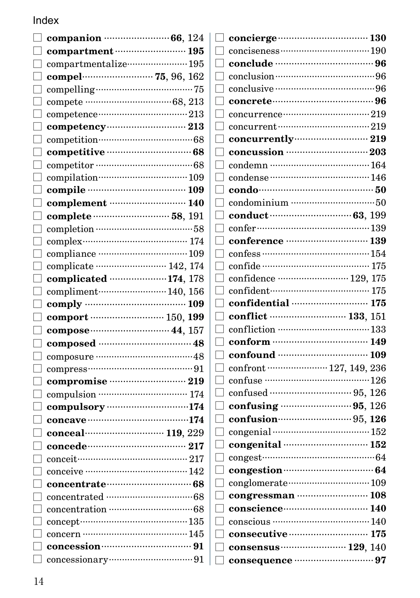| companion $\cdots$ 66, 124                      |
|-------------------------------------------------|
| compartment (195                                |
| compartmentalize…………………… 195                    |
|                                                 |
|                                                 |
|                                                 |
|                                                 |
| competency 213                                  |
|                                                 |
| competitive manual 68                           |
|                                                 |
| compilation…………………………… 109                      |
| compile …………………………… 109                         |
| complement …………………… 140                         |
|                                                 |
|                                                 |
| $complex$ $174$                                 |
|                                                 |
| complicate ························· 142, 174   |
| complicated  174, 178                           |
| compliment 140, 156                             |
|                                                 |
| comport …………………… 150, 199                       |
|                                                 |
|                                                 |
|                                                 |
|                                                 |
| compromise manual 219                           |
|                                                 |
| compulsory ·································174 |
|                                                 |
| conceal…………………… 119, 229                        |
|                                                 |
|                                                 |
| conceive ……………………………… 142                       |
| concentrate (1990)                              |
|                                                 |
|                                                 |
| concept………………………………… 135                        |
| concern ………………………………… 145                       |
| concession manual and 91                        |
|                                                 |

| concierge manual and 130                     |
|----------------------------------------------|
|                                              |
|                                              |
|                                              |
|                                              |
|                                              |
|                                              |
|                                              |
| concurrently 219                             |
|                                              |
|                                              |
|                                              |
|                                              |
|                                              |
|                                              |
|                                              |
|                                              |
|                                              |
| confide ……………………………… 175                     |
| confidence ························ 129, 175 |
| confident……………………………… 175                    |
| confidential manufactured 175                |
| conflict ……………………… 133, 151                  |
|                                              |
|                                              |
|                                              |
| confront ····················· 127, 149, 236 |
|                                              |
|                                              |
|                                              |
|                                              |
|                                              |
| congenital manufactured 152                  |
|                                              |
| congestion manual 64                         |
| conglomerate (2001) 109                      |
|                                              |
| conscience 140                               |
|                                              |
| consecutive manufacture 175                  |
| consensus (29, 140)                          |
| consequence manuscritting 97                 |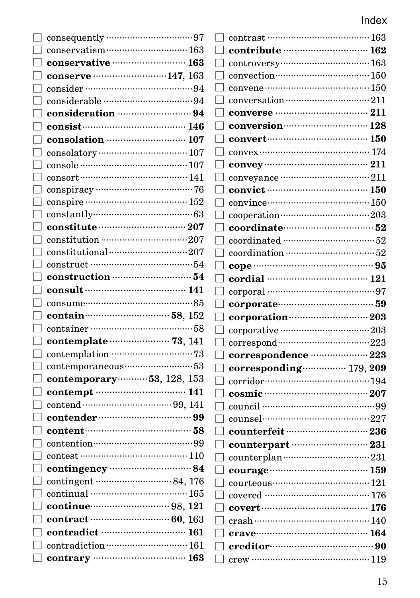| ⊔            |                                                                                                |                                                                              |
|--------------|------------------------------------------------------------------------------------------------|------------------------------------------------------------------------------|
|              |                                                                                                | $\text{contrast}\, \cdots\!\cdots\!\cdots$                                   |
|              | $\Box$ conservatism………………………… 163                                                              | $\textbf{contribute}\cdots$                                                  |
|              | $\Box$ conservative ………………………… 163                                                             | $\Box$ controversy $\cdots$                                                  |
|              | $\Box$ conserve 147, 163                                                                       | $\Box$ convection                                                            |
|              |                                                                                                | $convene$                                                                    |
|              |                                                                                                | $\Box$ conversation $\cdots$                                                 |
|              |                                                                                                | converse ……                                                                  |
| 니            | $\mathbf{consist} \cdots \cdots \cdots \cdots \cdots \cdots \cdots \cdots \cdots \mathbf{146}$ | conversion                                                                   |
| П            | $\cos$ olation $\cdots$ $\cdots$ $\cdots$ $\cdots$ $\cdots$ $\cdots$ $\cdots$ 107              | convert                                                                      |
| 니            |                                                                                                | $convex$                                                                     |
| $\mathbf{L}$ | $\frac{107}{107}$                                                                              | convey<br>ப                                                                  |
|              | $\text{consort}\dots\text{consur}\dots\text{consur}\dots\text{r}$                              | conveyance                                                                   |
|              |                                                                                                | convict<br>П                                                                 |
|              | $\Box$ conspire ………………………………………… 152                                                           | $\Box$ convince                                                              |
|              | $\Box$ constantly $\cdots$                                                                     | cooperation ·····                                                            |
| ⊔            | $\mathbf{constitute}\cdots\cdots\cdots\cdots\cdots\cdots\cdots\cdots\cdots\mathbf{207}$        | coordinate                                                                   |
| П            | constitution ·································207                                              | $\hfill\Box$<br>$\hfill\Box$<br>$\hfill\Box$<br>$\hfill\Box$<br>$\hfill\Box$ |
| ⊔            | $\text{constitutional}\dots\dots\dots\dots\dots\dots\dots\dots\207$                            | coordination                                                                 |
|              |                                                                                                | $\Box$ cope ……………                                                            |
|              |                                                                                                | $\Box$ cordial ………                                                           |
|              |                                                                                                | $\Box$ corporal ………                                                          |
| □            | $\text{cosume}\dots \text{cos} 85$                                                             |                                                                              |
|              |                                                                                                |                                                                              |
|              | $\Box$ contain $\cdots$ 58, 152                                                                | $\Box$ corporate<br>$\Box$ corporation $\cdots$                              |
| П            | container ……………………………………58                                                                     |                                                                              |
| $\mathbf{L}$ | contemplate (23, 141)                                                                          | $\Box$ corporative ……<br>$\Box$ correspond $\cdots$                          |
| $\Box$       |                                                                                                | $\Box$ corresponder                                                          |
|              | $\hfill\Box$ contemporaneous $\hfill\cdots\hfill\cdots\hfill\ldots\hfill\Box$                  | $\Box$ correspondir                                                          |
|              | $\Box$ contemporary  53, 128, 153                                                              | corridor………<br>П                                                             |
|              |                                                                                                | cosmic<br>П                                                                  |
|              |                                                                                                | $\Box$ council …………                                                          |
|              |                                                                                                | $\Box$ counsel                                                               |
|              |                                                                                                | $\mathrel{\sqcup}$ counterfeit $\mathrel{\cdots}$                            |
| □            |                                                                                                | $\Box$ counterpart                                                           |
| LΤ           | contest …………………………………… 110                                                                     | $\Box$ counterplan                                                           |
|              |                                                                                                | courage                                                                      |
|              |                                                                                                | $\Box$ courteous ……                                                          |
|              | $\Box$ continual ……………………………………… 165                                                           | covered ……….                                                                 |
|              | $\Box$ continue $\Box$                                                                         | cover t<br>П                                                                 |
|              |                                                                                                | $\text{crash}\,\cdots\!\cdots\!\cdots\!\cdots\!\cdots$<br>$\Box$             |
| $\Box$       |                                                                                                |                                                                              |
|              | contradiction  161                                                                             | creditor………                                                                  |

| contrast ……………………………… 163                                                                  |  |
|--------------------------------------------------------------------------------------------|--|
| contribute manufactured 162                                                                |  |
|                                                                                            |  |
| convection……………………………… 150                                                                 |  |
|                                                                                            |  |
|                                                                                            |  |
|                                                                                            |  |
| conversion (28)                                                                            |  |
| convert (150)                                                                              |  |
| $convex$ $174$                                                                             |  |
|                                                                                            |  |
|                                                                                            |  |
|                                                                                            |  |
| convince……………………………… 150                                                                   |  |
|                                                                                            |  |
|                                                                                            |  |
|                                                                                            |  |
|                                                                                            |  |
|                                                                                            |  |
| cordial ……………………………… 121                                                                   |  |
|                                                                                            |  |
|                                                                                            |  |
|                                                                                            |  |
|                                                                                            |  |
|                                                                                            |  |
|                                                                                            |  |
|                                                                                            |  |
| correspondence manuscritte 223                                                             |  |
| corresponding ················ 179, 209                                                    |  |
|                                                                                            |  |
| corridor<br>cosmic (207)<br>207                                                            |  |
| council …………………………………………99                                                                 |  |
|                                                                                            |  |
|                                                                                            |  |
| counterpart manuscrimes 231                                                                |  |
| ${\tt counterplan}\dots{\tt\dots\dots{\dots}\dots{\dots}\dots{\dots}\dots{\dots}\dots 231$ |  |
|                                                                                            |  |
| course 121                                                                                 |  |
| covered ……………………………… 176                                                                   |  |
| covert ……………………………………… 176                                                                 |  |
|                                                                                            |  |
| crave……………………………… 164                                                                      |  |
|                                                                                            |  |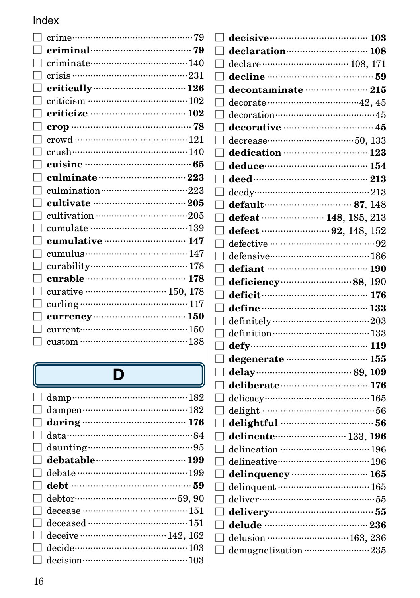| critically (26) 26                                |  |
|---------------------------------------------------|--|
|                                                   |  |
|                                                   |  |
|                                                   |  |
|                                                   |  |
|                                                   |  |
|                                                   |  |
|                                                   |  |
| culmination ··································223 |  |
| cultivate manufactured 205                        |  |
|                                                   |  |
|                                                   |  |
| cumulative manufactured 147                       |  |
|                                                   |  |
|                                                   |  |
| curable………………………… 178                             |  |
| curative  150, 178                                |  |
|                                                   |  |
|                                                   |  |
| current…………………………………150                           |  |
| custom ………………………………… 138                          |  |
|                                                   |  |

# $\overline{\mathbf{D}}$

| $\Box$       |                                                                                    |  |
|--------------|------------------------------------------------------------------------------------|--|
|              |                                                                                    |  |
|              |                                                                                    |  |
|              |                                                                                    |  |
|              |                                                                                    |  |
|              |                                                                                    |  |
|              | $\Box$ debtor $\cdots$ $\cdots$ $\cdots$ $\cdots$ $\cdots$ $\cdots$ $\cdots$ 59.90 |  |
|              |                                                                                    |  |
| $\Box$       |                                                                                    |  |
| $\mathbf{L}$ |                                                                                    |  |
| $\Box$       | decide…………………………………… 103                                                           |  |
| $\Box$       |                                                                                    |  |

| decisive manual 103                      |  |
|------------------------------------------|--|
| declaration (108)                        |  |
|                                          |  |
|                                          |  |
| decontaminate  215                       |  |
|                                          |  |
| decoration……………………………45                  |  |
| decorative manufacturers 45              |  |
|                                          |  |
| dedication  123                          |  |
|                                          |  |
|                                          |  |
| $\text{deedy}\dots$ 213                  |  |
| default (187, 148)                       |  |
| defeat <b>communicates</b> 148, 185, 213 |  |
|                                          |  |
|                                          |  |
|                                          |  |
| defiant ……………………………… 190                 |  |
|                                          |  |
| deficit (176)                            |  |
|                                          |  |
|                                          |  |
|                                          |  |
|                                          |  |
| degenerate manual manual 155             |  |
| delay (29, 109)                          |  |
| deliberate manufacture 176               |  |
|                                          |  |
|                                          |  |
|                                          |  |
| delineate (133, 196                      |  |
|                                          |  |
| delineative……………………………… 196              |  |
| delinquency manufacturer 165             |  |
|                                          |  |
|                                          |  |
|                                          |  |
|                                          |  |
| delusion  163, 236                       |  |
| demagnetization 235                      |  |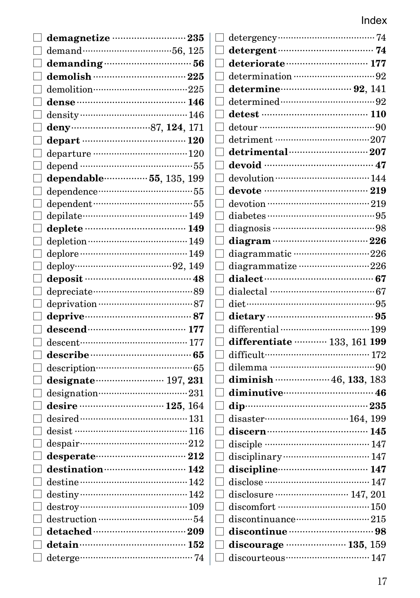| demagnetize ……………………… 235                                                                                                                                                                                                                                                                                            |                                                |
|----------------------------------------------------------------------------------------------------------------------------------------------------------------------------------------------------------------------------------------------------------------------------------------------------------------------|------------------------------------------------|
|                                                                                                                                                                                                                                                                                                                      | detergent manual 74                            |
|                                                                                                                                                                                                                                                                                                                      | deteriorate manufacture 177                    |
| $d$ emolish $\cdots$ $225$                                                                                                                                                                                                                                                                                           | determination ………………………………………92                |
| demolition…………………………………225                                                                                                                                                                                                                                                                                           | determine $\cdots$ 92, 141                     |
| dense ……………………………… 146                                                                                                                                                                                                                                                                                               |                                                |
|                                                                                                                                                                                                                                                                                                                      |                                                |
|                                                                                                                                                                                                                                                                                                                      |                                                |
|                                                                                                                                                                                                                                                                                                                      | detriment ……………………………………207<br>$\Box$          |
| departure …………………………………120                                                                                                                                                                                                                                                                                           |                                                |
|                                                                                                                                                                                                                                                                                                                      | devoid …………………………………… 47                       |
| dependable…………… 55, 135, 199                                                                                                                                                                                                                                                                                         |                                                |
|                                                                                                                                                                                                                                                                                                                      | devote ……………………………… 219                        |
|                                                                                                                                                                                                                                                                                                                      |                                                |
|                                                                                                                                                                                                                                                                                                                      |                                                |
| deplete …………………………… 149                                                                                                                                                                                                                                                                                              |                                                |
|                                                                                                                                                                                                                                                                                                                      |                                                |
| deplore ………………………………… 149                                                                                                                                                                                                                                                                                            | diagrammatic ·····························226  |
|                                                                                                                                                                                                                                                                                                                      | diagrammatize ··························226    |
|                                                                                                                                                                                                                                                                                                                      |                                                |
|                                                                                                                                                                                                                                                                                                                      | dialectal …………………………………… 67                    |
|                                                                                                                                                                                                                                                                                                                      |                                                |
| deprive 37                                                                                                                                                                                                                                                                                                           |                                                |
|                                                                                                                                                                                                                                                                                                                      |                                                |
| descent……………………………… 177                                                                                                                                                                                                                                                                                              | differentiate  133, 161 199                    |
| describe……………………………… 65                                                                                                                                                                                                                                                                                              | difficult……………………………… 172<br>$\vert \ \ \vert$ |
|                                                                                                                                                                                                                                                                                                                      |                                                |
| designate (197, 231)                                                                                                                                                                                                                                                                                                 |                                                |
|                                                                                                                                                                                                                                                                                                                      | diminutive 16                                  |
|                                                                                                                                                                                                                                                                                                                      |                                                |
|                                                                                                                                                                                                                                                                                                                      |                                                |
| desist …………………………………… 116                                                                                                                                                                                                                                                                                            |                                                |
| despair………………………………………212                                                                                                                                                                                                                                                                                            | disciple ………………………………… 147                     |
| desperate 212                                                                                                                                                                                                                                                                                                        |                                                |
| destination (142)                                                                                                                                                                                                                                                                                                    | discipline 147                                 |
| $\qquad \qquad \mathbf{destine}\cdots\mathbf{142}$                                                                                                                                                                                                                                                                   |                                                |
|                                                                                                                                                                                                                                                                                                                      |                                                |
| $distribution \hspace{25pt} \ldots \hspace{25pt} \ldots \hspace{25pt} \ldots \hspace{25pt} \ldots \hspace{25pt} \ldots \hspace{25pt} \ldots \hspace{25pt} \ldots \hspace{25pt} \ldots \hspace{25pt} \ldots \hspace{25pt} \ldots \hspace{25pt} \ldots \hspace{25pt} \ldots \hspace{25pt} \ldots \hspace{25pt} \ldots$ | discomfort ……………………………… 150                    |
|                                                                                                                                                                                                                                                                                                                      |                                                |
| $\det$ ain $\cdots$ 152                                                                                                                                                                                                                                                                                              |                                                |
|                                                                                                                                                                                                                                                                                                                      |                                                |
|                                                                                                                                                                                                                                                                                                                      | discourteous manual 147                        |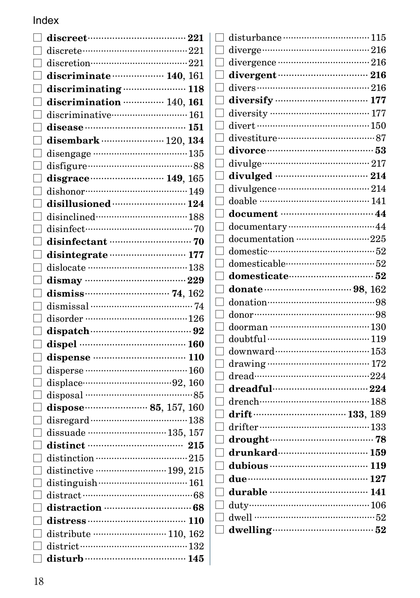| $\Box$ discriminate $\cdots$ 140, 161   |  |
|-----------------------------------------|--|
| $\Box$ discriminating  118              |  |
| $\Box$ discrimination $\cdots$ 140, 161 |  |
| $\Box$ discriminative $\cdots$ 161      |  |
|                                         |  |
| $\Box$ disembark  120, 134              |  |
|                                         |  |
|                                         |  |
|                                         |  |
| $\Box$ dishonor $149$                   |  |
|                                         |  |
|                                         |  |
|                                         |  |
|                                         |  |
|                                         |  |
|                                         |  |
|                                         |  |
| $\Box$ dismiss $\Box$ 162               |  |
|                                         |  |
| $\Box$ disorder ……………………………………… 126     |  |
|                                         |  |
|                                         |  |
|                                         |  |
|                                         |  |
|                                         |  |
|                                         |  |
|                                         |  |
|                                         |  |
|                                         |  |
|                                         |  |
|                                         |  |
|                                         |  |
|                                         |  |
|                                         |  |
|                                         |  |
|                                         |  |
|                                         |  |
|                                         |  |
|                                         |  |

| disturbance  115                                 |  |
|--------------------------------------------------|--|
|                                                  |  |
|                                                  |  |
|                                                  |  |
|                                                  |  |
|                                                  |  |
|                                                  |  |
|                                                  |  |
| divestiture………………………………87                        |  |
|                                                  |  |
|                                                  |  |
|                                                  |  |
|                                                  |  |
|                                                  |  |
| document manual 44                               |  |
| documentary ··································44 |  |
| documentation 225                                |  |
|                                                  |  |
| domesticable………………………………52                       |  |
|                                                  |  |
|                                                  |  |
| donate $\cdots$ 98, 162                          |  |
| donation………………………………………………98                     |  |
|                                                  |  |
|                                                  |  |
|                                                  |  |
|                                                  |  |
|                                                  |  |
|                                                  |  |
| dreadful…………………………… 224                          |  |
|                                                  |  |
|                                                  |  |
|                                                  |  |
|                                                  |  |
|                                                  |  |
|                                                  |  |
|                                                  |  |
|                                                  |  |
|                                                  |  |
| dwell ………………………………………52                          |  |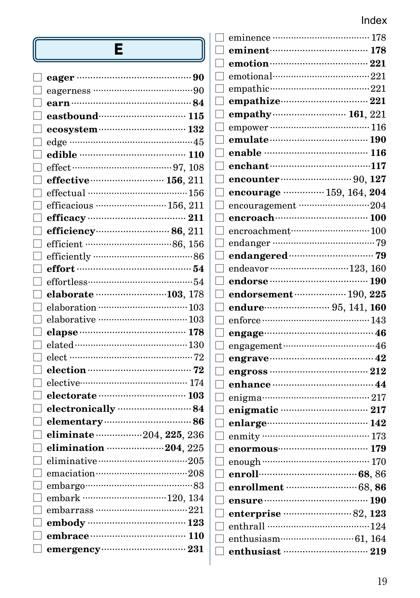| Е                                                     | eminent (278) 178                                                                     |
|-------------------------------------------------------|---------------------------------------------------------------------------------------|
|                                                       |                                                                                       |
|                                                       | $emotional \cdots \cdots \cdots \cdots \cdots \cdots \cdots \cdots \cdots \cdots 221$ |
|                                                       |                                                                                       |
|                                                       | empathize 221                                                                         |
| eastbound (15)                                        |                                                                                       |
| ecosystem  132                                        | empower ………………………………… 116                                                             |
| edge ………………………………………45                                | $\Box$ emulate $\cdots$ and $190$                                                     |
|                                                       | enable ……………………………… 116                                                               |
|                                                       | enchant…………………………117                                                                  |
| effective manual 156, 211                             |                                                                                       |
|                                                       | encourage  159, 164, 204                                                              |
| efficacious ·································156, 211 |                                                                                       |
|                                                       |                                                                                       |
|                                                       | $encroachment \cdots \cdots \cdots \cdots \cdots \cdots \cdots \cdots 100$            |
|                                                       |                                                                                       |
|                                                       | endangered (1999) and Table 1999                                                      |
|                                                       | endeavor ………………………… 123, 160                                                          |
|                                                       | endorse ……………………………… 190                                                              |
| elaborate 103, 178                                    | endorsement (190, 225)                                                                |
| elaboration ………………………………… 103                         | endure 25, 141, 160                                                                   |
|                                                       |                                                                                       |
|                                                       |                                                                                       |
|                                                       |                                                                                       |
|                                                       |                                                                                       |
|                                                       |                                                                                       |
| elective……………………………… 174                              |                                                                                       |
|                                                       |                                                                                       |
|                                                       |                                                                                       |
|                                                       | enlarge…………………………… 142                                                                |
| eliminate 204, 225, 236                               | enmity …………………………………… 173                                                             |
| elimination 204, 225                                  |                                                                                       |
| eliminative···································205     | enough …………………………………… 170                                                             |
| emaciation……………………………208                              |                                                                                       |
| embargo……………………………………83                               | enrollment ………………………… 68, 86                                                          |
| embark 120, 134                                       | ensure …………………………………… 190                                                             |
|                                                       |                                                                                       |
| embody …………………………… 123                                |                                                                                       |
|                                                       |                                                                                       |
|                                                       |                                                                                       |
|                                                       |                                                                                       |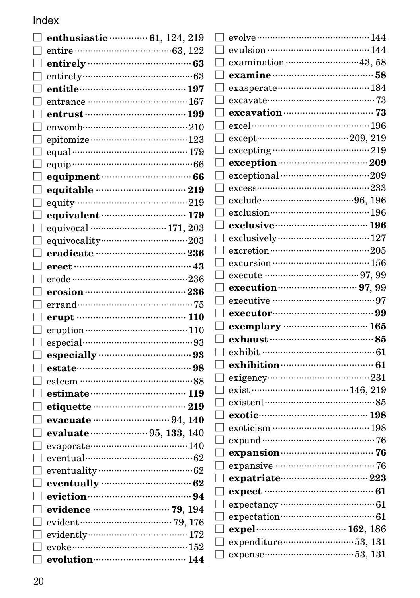| enthusiastic …………… 61, 124, 219 |                   | evolve $\cdots$ and $144$                                |
|---------------------------------|-------------------|----------------------------------------------------------|
|                                 |                   |                                                          |
|                                 |                   |                                                          |
|                                 |                   |                                                          |
| entitle……………………………… 197         | ⊔                 |                                                          |
|                                 |                   |                                                          |
|                                 |                   | $excavation$ 73                                          |
|                                 |                   |                                                          |
|                                 | H                 |                                                          |
|                                 |                   |                                                          |
|                                 | ப                 |                                                          |
| equipment (1996) 66             |                   | exceptional ……………………………………209                            |
| equitable …………………………… 219       |                   |                                                          |
|                                 |                   |                                                          |
| equivalent manually 179         |                   |                                                          |
|                                 |                   | exclusive manufacturer 196                               |
|                                 |                   |                                                          |
| eradicate ………………………… 236        |                   |                                                          |
|                                 |                   | excursion ……………………………… 156                               |
|                                 |                   | execute ……………………………… 97, 99                              |
|                                 |                   |                                                          |
|                                 |                   |                                                          |
|                                 |                   |                                                          |
| eruption …………………………………… 110     |                   | exemplary manufactured 165                               |
|                                 |                   |                                                          |
| especially manufactured 93      |                   | exhibit ………………………………………… 61                              |
|                                 |                   | exhibition (61)                                          |
|                                 | $\vert \ \ \vert$ |                                                          |
|                                 |                   |                                                          |
|                                 |                   | existent…………………………………85                                  |
|                                 |                   | exotic manual 198                                        |
| evaluate  95, 133, 140          | $\vert \ \ \vert$ | exoticism ……………………………… 198<br>expand ………………………………………… 76 |
|                                 |                   |                                                          |
| eventual……………………………………… 62      |                   | expansion (26) 26                                        |
|                                 |                   |                                                          |
| eventually manufactured 62      |                   | expatriate 223                                           |
| eviction manual manual 94       |                   | expect …………………………………… 61                                 |
|                                 |                   | expectation……………………………………… 61                            |
|                                 |                   |                                                          |
|                                 | $\vert \ \ \vert$ |                                                          |
| evoke $\cdots$ 152              |                   | expenditure ··································53, 131    |
| evolution 144                   |                   |                                                          |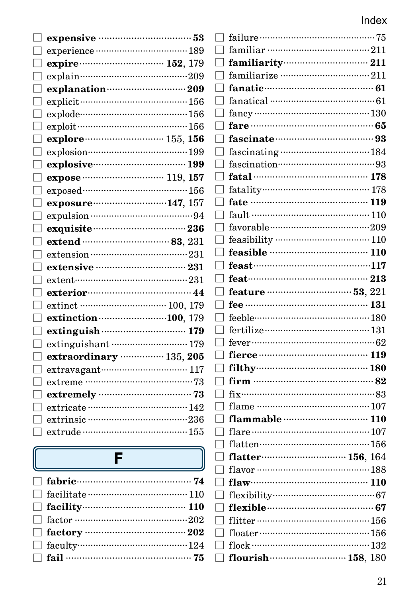| expensive manufacturers 53                      | failure        |
|-------------------------------------------------|----------------|
|                                                 | familiar       |
| expire <b>contract 152</b> , 179                | familiar       |
|                                                 | familiari      |
| explanation (209)                               | fanatic ··     |
|                                                 | fanatical      |
| $explode$ $156$                                 | fancy          |
|                                                 | fare ……        |
|                                                 | fascinat       |
|                                                 | fascinati      |
| explosive manufactured 199                      | fascinatio     |
|                                                 | fatal          |
|                                                 | fatality…      |
| exposure ······························147, 157 | fate           |
|                                                 | fault          |
| exquisite (1990) 236                            | favorable      |
| extend ………………………… 83, 231                       | feasibilit     |
|                                                 | feasible       |
| extensive …………………………… 231                       | feast          |
| $extent$ $231$                                  | feat ········· |
| exterior 244                                    | feature        |
| extinct minimum 100, 179                        | fee            |
| extinction (100, 179)                           | feeble ······· |
| extinguish (2007) 179                           | fertilize ··   |
| extinguishant  179                              | fever          |
| extraordinary  135, 205                         | fierce ····    |
| extravagant………………………… 117                       | filthy         |
|                                                 | firm ……        |
|                                                 | $fix$          |
|                                                 | flame ….       |
|                                                 | flammal        |
|                                                 | flare ……       |
|                                                 | flatten…       |
| F                                               | flatter…       |
|                                                 | flavor         |
| fabric (24)                                     | flaw ········  |
|                                                 | flexibility    |

 $\Box$  facility  $\cdots$  110

| familiar …………………………………… 211                                                                                    |  |
|----------------------------------------------------------------------------------------------------------------|--|
| ٦                                                                                                              |  |
| familiarize ………………………………… 211<br>П                                                                             |  |
| fanatic………………………………… 61                                                                                        |  |
| П                                                                                                              |  |
|                                                                                                                |  |
| fare ……………………………………… 65<br>٦                                                                                   |  |
| fascinate (1993) substitution of the fascinate of the set of the set of the set of the set of the set of the s |  |
|                                                                                                                |  |
| fascination………………………………93<br>┐                                                                                 |  |
| fatal …………………………………… 178<br>- 1                                                                                |  |
| $\Box$                                                                                                         |  |
| fate …………………………………… 119                                                                                        |  |
| fault $\cdots$ 110<br>٦                                                                                        |  |
| favorable…………………………………209<br>$\overline{\phantom{0}}$                                                          |  |
|                                                                                                                |  |
| feasible ……………………………… 110                                                                                      |  |
|                                                                                                                |  |
| ٦                                                                                                              |  |
|                                                                                                                |  |
|                                                                                                                |  |
|                                                                                                                |  |
| ┐                                                                                                              |  |
| fever $\cdots$ 62                                                                                              |  |
| П                                                                                                              |  |
|                                                                                                                |  |
|                                                                                                                |  |
|                                                                                                                |  |
| $\overline{\phantom{a}}$                                                                                       |  |
|                                                                                                                |  |
| П                                                                                                              |  |
| $\blacksquare$                                                                                                 |  |
| ┐                                                                                                              |  |
| flatter………………………… 156, 164<br>┑                                                                                |  |
| ┐                                                                                                              |  |
| $\mathbf{flaw}$ $\cdots$ $\cdots$ $\cdots$ $\cdots$ $\cdots$ $\cdots$ $\cdots$ $\cdots$ $\cdots$ $\cdots$<br>⊣ |  |
|                                                                                                                |  |
|                                                                                                                |  |
|                                                                                                                |  |
| ⊣                                                                                                              |  |
| flock ……………………………………… 132<br>flourish  158, 180                                                                |  |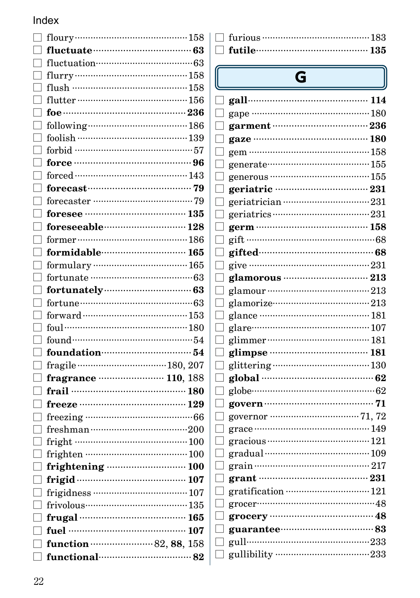| ٦ | fluctuate (13) 63                          |  |
|---|--------------------------------------------|--|
|   | fluctuation………………………………………… 63             |  |
|   |                                            |  |
|   | flush ……………………………………158                    |  |
|   |                                            |  |
|   |                                            |  |
|   |                                            |  |
|   |                                            |  |
|   | forbid ………………………………………57                   |  |
|   |                                            |  |
|   |                                            |  |
|   |                                            |  |
|   |                                            |  |
|   |                                            |  |
|   | foreseeable………………………… 128                  |  |
|   |                                            |  |
|   | formidable………………………… 165                   |  |
|   |                                            |  |
|   |                                            |  |
|   |                                            |  |
|   | fortune…………………………………………63                  |  |
|   |                                            |  |
|   |                                            |  |
|   |                                            |  |
|   | foundation………………………………54                   |  |
|   |                                            |  |
|   | fragrance ······················· 110, 188 |  |
|   | frail $\cdots$ 180                         |  |
|   |                                            |  |
|   |                                            |  |
|   |                                            |  |
|   |                                            |  |
|   |                                            |  |
|   | frightening  100                           |  |
|   | frigid (107) 107                           |  |
|   |                                            |  |
|   | frivolous………………………………… 135                 |  |
|   |                                            |  |
|   | fuel …………………………………… 107                    |  |
|   | function (2, 88, 158)                      |  |
|   | $\Box$ functional $\cdots$ 82              |  |

| $\Box$ futile $\Box$ and $\Box$ futile $\Box$ and $\Box$ and $\Box$ and $\Box$ and $\Box$ and $\Box$ and $\Box$ and $\Box$ and $\Box$ and $\Box$ and $\Box$ and $\Box$ and $\Box$ and $\Box$ and $\Box$ and $\Box$ and $\Box$ and $\Box$ and $\Box$ and $\Box$ and $\Box$ and |  |
|-------------------------------------------------------------------------------------------------------------------------------------------------------------------------------------------------------------------------------------------------------------------------------|--|

# $\overline{\mathsf{G}}$

|              | G                                                                                             |  |
|--------------|-----------------------------------------------------------------------------------------------|--|
|              |                                                                                               |  |
|              | gape ………………………………………180                                                                       |  |
|              | garment ……………………………… 236                                                                      |  |
|              | gaze …………………………………… 180                                                                       |  |
|              | gem ………………………………………158                                                                        |  |
|              | generate…………………………………155                                                                      |  |
|              | generous …………………………………… 155                                                                   |  |
|              |                                                                                               |  |
|              |                                                                                               |  |
|              | $geriatrics \cdots \cdots \cdots \cdots \cdots \cdots \cdots \cdots \cdots \cdots \cdots 231$ |  |
|              |                                                                                               |  |
|              |                                                                                               |  |
|              | gifted………………………………………68                                                                       |  |
|              |                                                                                               |  |
|              | glamorous ………………………… 213                                                                      |  |
|              |                                                                                               |  |
|              | glamorize…………………………………… 213                                                                   |  |
|              |                                                                                               |  |
|              | glare………………………………………… 107                                                                     |  |
| $\mathsf{L}$ |                                                                                               |  |
|              | glimpse …………………………… 181                                                                       |  |
|              |                                                                                               |  |
|              | global …………………………………… 62                                                                      |  |
|              | globe…………………………………………… 62                                                                     |  |
|              |                                                                                               |  |
|              |                                                                                               |  |
|              |                                                                                               |  |
|              |                                                                                               |  |
|              | gradual …………………………………… 109                                                                    |  |
|              |                                                                                               |  |
|              | grant ………………………………………… 231                                                                    |  |
|              |                                                                                               |  |
|              |                                                                                               |  |
|              |                                                                                               |  |
|              | guarantee……………………………83                                                                        |  |
|              | gull…………………………………………233                                                                       |  |
|              | gullibility ………………………………233                                                                   |  |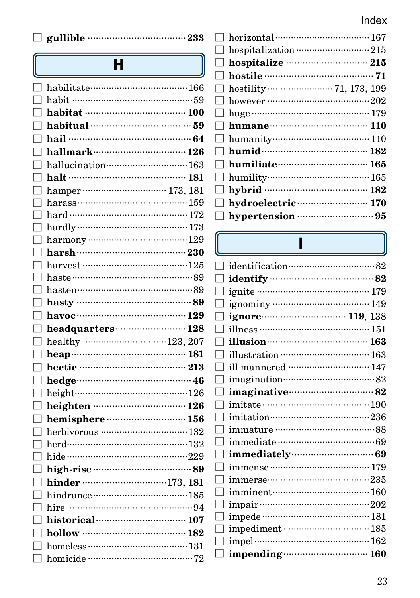|  | $\Box$ gullible $\Box$ |  |
|--|------------------------|--|
|  |                        |  |

# $\overline{H}$

| habit ………………………………………59      |  |
|------------------------------|--|
|                              |  |
|                              |  |
|                              |  |
| hallmark…………………………… 126      |  |
| hallucination 163            |  |
|                              |  |
|                              |  |
|                              |  |
|                              |  |
|                              |  |
|                              |  |
|                              |  |
|                              |  |
|                              |  |
| hasten……………………………………89       |  |
|                              |  |
| havoc $129$                  |  |
| headquarters 128             |  |
|                              |  |
|                              |  |
|                              |  |
|                              |  |
| height………………………………………126     |  |
|                              |  |
| hemisphere manual manual 156 |  |
|                              |  |
|                              |  |
|                              |  |
|                              |  |
| hinder 173, 181              |  |
|                              |  |
|                              |  |
|                              |  |
| $h$ ollow …………………………………… 182 |  |
|                              |  |
|                              |  |
|                              |  |

|              | hospitalization ………………………… 215 |
|--------------|--------------------------------|
|              |                                |
|              |                                |
|              |                                |
|              |                                |
|              |                                |
|              |                                |
| $\mathbf{L}$ | humanity………………………………… 110      |
|              | humid $182$                    |
|              |                                |
|              |                                |
|              | hybrid ……………………………… 182        |
|              | hydroelectric 170              |
|              |                                |
|              |                                |

 $\mathbf{I}$ 

| identification………………………………82 |  |
|------------------------------|--|
|                              |  |
|                              |  |
|                              |  |
| ignore (119, 138)            |  |
|                              |  |
| illusion (163)               |  |
|                              |  |
| ill mannered  147            |  |
| imagination………………………………82    |  |
| imaginative………………………… 82     |  |
|                              |  |
|                              |  |
|                              |  |
|                              |  |
|                              |  |
|                              |  |
|                              |  |
| imminent……………………………… 160     |  |
|                              |  |
| impede …………………………………… 181    |  |
|                              |  |
|                              |  |
| impending 160                |  |

 $\overline{[}$  $\overline{a}$  $\begin{bmatrix} 1 \\ 1 \end{bmatrix}$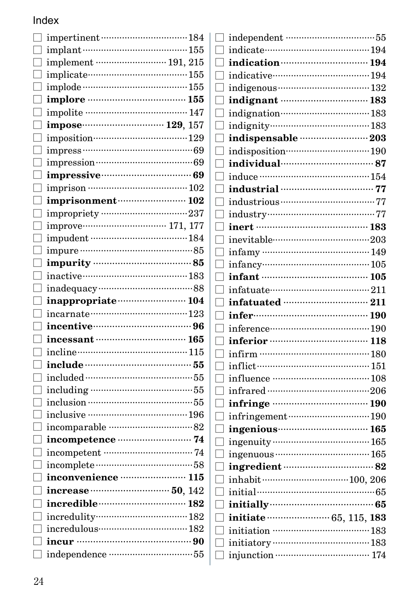#### Index  $\overline{\phantom{a}}$

| implement …………………… 191, 215                         |  |
|-----------------------------------------------------|--|
|                                                     |  |
|                                                     |  |
|                                                     |  |
|                                                     |  |
|                                                     |  |
| imposition………………………………129                           |  |
|                                                     |  |
|                                                     |  |
| impressive continuum 69                             |  |
|                                                     |  |
| imprisonment (102                                   |  |
| impropriety ……………………………237                          |  |
| improve----------------------------------- 171, 177 |  |
|                                                     |  |
|                                                     |  |
|                                                     |  |
| inactive………………………………183                             |  |
|                                                     |  |
| inappropriate manual 104                            |  |
|                                                     |  |
| incentive……………………………… 96                            |  |
|                                                     |  |
|                                                     |  |
|                                                     |  |
|                                                     |  |
|                                                     |  |
|                                                     |  |
|                                                     |  |
|                                                     |  |
| incompetence manufactured 74                        |  |
|                                                     |  |
|                                                     |  |
| inconvenience <b>manual</b> 115                     |  |
| increase manufactured 50, 142                       |  |
| incredible……………………… 182                             |  |
|                                                     |  |
|                                                     |  |
|                                                     |  |
|                                                     |  |
|                                                     |  |

| indication manufactured 194                                                                                    |  |
|----------------------------------------------------------------------------------------------------------------|--|
| indicative………………………………194                                                                                      |  |
|                                                                                                                |  |
| indignant manual 183                                                                                           |  |
| indignation…………………………… 183                                                                                     |  |
| indignity……………………………… 183                                                                                      |  |
|                                                                                                                |  |
| indisposition…………………………… 190                                                                                   |  |
| individual (27) 187                                                                                            |  |
|                                                                                                                |  |
|                                                                                                                |  |
|                                                                                                                |  |
|                                                                                                                |  |
| inert ………………………………… 183                                                                                        |  |
| inevitable……………………………………203                                                                                    |  |
|                                                                                                                |  |
|                                                                                                                |  |
|                                                                                                                |  |
|                                                                                                                |  |
|                                                                                                                |  |
|                                                                                                                |  |
|                                                                                                                |  |
| inference………………………………190                                                                                       |  |
|                                                                                                                |  |
|                                                                                                                |  |
|                                                                                                                |  |
|                                                                                                                |  |
|                                                                                                                |  |
|                                                                                                                |  |
| infringement (190)                                                                                             |  |
|                                                                                                                |  |
|                                                                                                                |  |
|                                                                                                                |  |
| ingredient manual 82                                                                                           |  |
|                                                                                                                |  |
| initial……………………………………………65                                                                                     |  |
| initially (25) and the finitial state of the set of the set of the set of the set of the set of the set of the |  |
| initiate (15, 115, 183                                                                                         |  |
|                                                                                                                |  |
|                                                                                                                |  |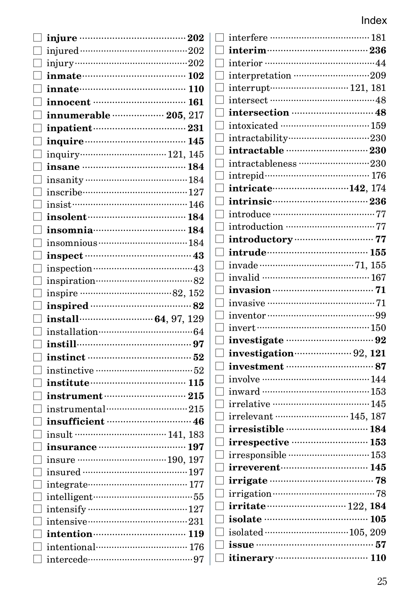|                                                                                                                                                                                                                                      | $\operatorname*{interfere}\cdots\cdots\cdots$                 |
|--------------------------------------------------------------------------------------------------------------------------------------------------------------------------------------------------------------------------------------|---------------------------------------------------------------|
|                                                                                                                                                                                                                                      | $interim$                                                     |
|                                                                                                                                                                                                                                      | $\operatorname*{interior}\cdots\cdots\cdots\cdots$<br>$\Box$  |
| $\Box$ inmate $102$                                                                                                                                                                                                                  | $\!$ interpretation $\cdot$<br>$\Box$                         |
| $\Box$ innate $110$                                                                                                                                                                                                                  | $\operatorname{interrupt} \cdots \cdots \cdots$               |
| innocent ………………………… 161                                                                                                                                                                                                              | $\operatorname*{intersect}\cdots\cdots\cdots\cdots$<br>$\Box$ |
| $\Box$ innumerable ……………… 205, 217                                                                                                                                                                                                   | intersection $\cdot\cdot$<br>$\Box$                           |
| inpatient…………………………… 231                                                                                                                                                                                                             | $\operatorname{intoxicated}\cdots\cdots$<br>$\Box$            |
| inquire <b>matrices</b> 145                                                                                                                                                                                                          | $intractability\cdots$                                        |
|                                                                                                                                                                                                                                      | intractable …                                                 |
| insane ……………………………… 184                                                                                                                                                                                                              | intractableness<br>$\Box$                                     |
|                                                                                                                                                                                                                                      | $\rm{intrepid}\cdots\cdots\cdots\cdots$<br>$\mathbf{L}$       |
| inscribe…………………………………127                                                                                                                                                                                                             | $\mathbf{intricate}\cdots\cdots\cdots$<br>⊔                   |
| $\Box$ insist $\cdots$ insisted in $146$                                                                                                                                                                                             | intrinsic<br>⊔                                                |
| $\frac{184}{150}$                                                                                                                                                                                                                    | $\hfill\Box$ introduce $\cdots\cdots\cdots$                   |
| $\Box$ insomnia $\cdots$                                                                                                                                                                                                             | $\operatorname*{introduction}\cdots$<br>$\mathbf{L}$          |
|                                                                                                                                                                                                                                      | $introductory \cdot$<br>⊔                                     |
|                                                                                                                                                                                                                                      | $intrude$                                                     |
|                                                                                                                                                                                                                                      | $\mathbf{L}$                                                  |
| $\Box$ inspiration…………………………………82                                                                                                                                                                                                    | $\operatorname{invalid}$                                      |
|                                                                                                                                                                                                                                      | invasion<br>$\mathsf{L}$                                      |
|                                                                                                                                                                                                                                      | $\operatorname{invasive}\cdots\cdots\cdots$                   |
|                                                                                                                                                                                                                                      | $\operatorname{inventor}\cdots\cdots\cdots$                   |
| $\quad \  \, \text{installation} \quad \  \  \, \text{} \quad \  \  \, \text{64}$                                                                                                                                                    | $invert \cdots \cdots \cdots \cdots$                          |
| $\Box$ instill $\cdots$                                                                                                                                                                                                              | investigate<br>ப                                              |
|                                                                                                                                                                                                                                      | $\Box$ investigation                                          |
|                                                                                                                                                                                                                                      | investment<br>□                                               |
| $\Box$ institute $115$                                                                                                                                                                                                               | $\hfill\Box$ involve $\hfill\cdots\cdots\cdots\cdots\cdots$   |
|                                                                                                                                                                                                                                      | $inward$                                                      |
| $\Box$ instrumental $\cdots$                                                                                                                                                                                                         | $irrelative\cdots\cdots\cdots$<br>$\Box$                      |
| insufficient <b>contract and the set of the set of the set of the set of the set of the set of the set of the set of the set of the set of the set of the set of the set of the set of the set of the set of the set of the set </b> | $irrelevant\cdots\cdots\cdots$                                |
|                                                                                                                                                                                                                                      | irresistible …<br>$\mathsf{L}$                                |
| insurance manufacturing 197                                                                                                                                                                                                          | irrespective ··<br>L.                                         |
|                                                                                                                                                                                                                                      | irresponsible $\cdots$<br>$\Box$                              |
|                                                                                                                                                                                                                                      | irreverent ·······                                            |
| integrate………………………………… 177                                                                                                                                                                                                           | irrigate<br>$\Box$                                            |
| intelligent…………………………………55                                                                                                                                                                                                           | $\hfill\Box$ irrigation ………                                   |
|                                                                                                                                                                                                                                      | irritate<br>$\Box$                                            |
|                                                                                                                                                                                                                                      | isolate …………<br>$\mathbf{L}$                                  |
| $\Box$ intention $\cdots$                                                                                                                                                                                                            | $isolated \cdots \cdots \cdots$                               |
| $intentional$ 176                                                                                                                                                                                                                    | issue<br>I                                                    |
| intercede…………………………………………97                                                                                                                                                                                                          | itinerary<br>$\mathbf{L}$                                     |

| interpretation 209            |  |
|-------------------------------|--|
|                               |  |
|                               |  |
|                               |  |
|                               |  |
|                               |  |
|                               |  |
| intractableness 230           |  |
| intrepid (2003) 176           |  |
| intricate (142, 174)          |  |
| intrinsic…………………………… 236      |  |
|                               |  |
|                               |  |
|                               |  |
|                               |  |
|                               |  |
|                               |  |
|                               |  |
|                               |  |
|                               |  |
|                               |  |
| investigate manual manual 92  |  |
| investigation (2, 121         |  |
|                               |  |
|                               |  |
|                               |  |
| irrelative ……………………………… 145   |  |
| irrelevant ……………………… 145, 187 |  |
|                               |  |
| irrespective ……………………… 153    |  |
|                               |  |
| irreverent………………………… 145      |  |
|                               |  |
|                               |  |
|                               |  |
| isolate ……………………………… 105      |  |
|                               |  |
| issue ……………………………………… 57      |  |
|                               |  |
|                               |  |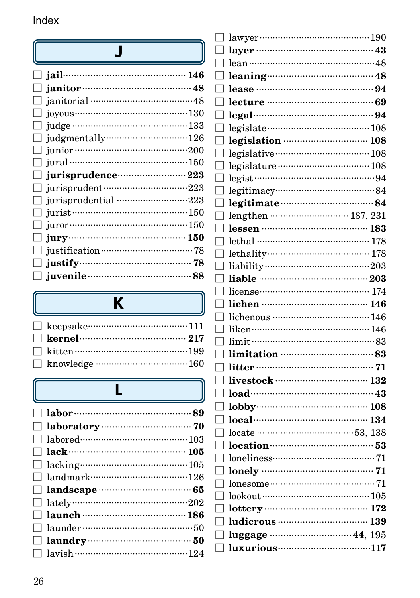|   | janitorial …………………………………48                                                                                                                  |
|---|---------------------------------------------------------------------------------------------------------------------------------------------|
|   |                                                                                                                                             |
|   |                                                                                                                                             |
|   | judgmentally (26) 126                                                                                                                       |
|   |                                                                                                                                             |
|   | jural ………………………………………… 150                                                                                                                  |
|   | jurisprudence ······················· 223                                                                                                   |
|   | jurisprudent ································223                                                                                            |
|   |                                                                                                                                             |
|   | $\Box$ jurist $\cdots$ $\cdots$ $\cdots$ $\cdots$ $\cdots$ $\cdots$ $\cdots$ $\cdots$ $\cdots$ $\cdots$ $\cdots$ $\cdots$ $\cdots$ $\cdots$ |
|   | juror ………………………………………… 150                                                                                                                  |
|   | $\Box$ jury $\cdots$ is a set of $150$                                                                                                      |
|   |                                                                                                                                             |
| ப | justify 78                                                                                                                                  |
|   | $\Box$ juvenile $\cdots$ 38                                                                                                                 |

# $\overline{\mathbf{K}}$

# $\overline{\mathsf{L}}$

| lawyer…………………………………190       |  |
|------------------------------|--|
|                              |  |
|                              |  |
| $leaning$ $48$               |  |
|                              |  |
| lecture …………………………………… 69    |  |
|                              |  |
|                              |  |
| legislation manufactured 108 |  |
|                              |  |
|                              |  |
|                              |  |
|                              |  |
| legitimate manually 84       |  |
| lengthen ……………………… 187, 231  |  |
|                              |  |
| lethal …………………………………… 178    |  |
|                              |  |
|                              |  |
|                              |  |
|                              |  |
|                              |  |
| lichenous ……………………………… 146   |  |
|                              |  |
|                              |  |
|                              |  |
|                              |  |
| livestock …………………………… 132    |  |
|                              |  |
|                              |  |
|                              |  |
|                              |  |
|                              |  |
| $lonelines$ $31$             |  |
|                              |  |
|                              |  |
|                              |  |
|                              |  |
| ludicrous  139               |  |
| luggage  44, 195             |  |
|                              |  |
|                              |  |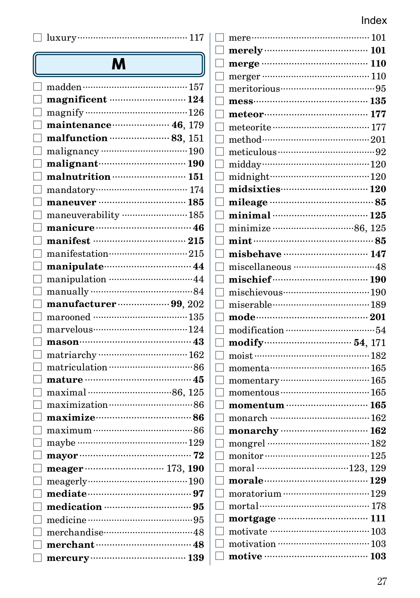|--|--|--|

# $\overline{\mathbf{M}}$

| madden ·····                                     | $\cdot\,157$        |
|--------------------------------------------------|---------------------|
|                                                  | 124                 |
|                                                  |                     |
| maintenance (16, 179)                            |                     |
| malfunction manually 83, 151                     |                     |
|                                                  |                     |
|                                                  |                     |
| malnutrition  151                                |                     |
|                                                  |                     |
| maneuver ·                                       |                     |
| maneuverability  185                             |                     |
| manicure manicure and 46                         |                     |
|                                                  | 215                 |
| manifestation215                                 |                     |
|                                                  |                     |
| manipulation ·································44 |                     |
|                                                  |                     |
| manufacturer $\cdots$ 99, 202                    |                     |
|                                                  |                     |
|                                                  |                     |
| mason                                            |                     |
|                                                  |                     |
|                                                  |                     |
| mature <b>continuum</b> 45                       |                     |
|                                                  |                     |
|                                                  |                     |
| maximize maximizente 86                          |                     |
| maximum 1000                                     |                     |
|                                                  |                     |
| mayor                                            | 72                  |
| meager ……………………… 173, 190                        |                     |
|                                                  |                     |
|                                                  |                     |
|                                                  |                     |
|                                                  |                     |
| merchandise                                      | $^{\rm \tiny{148}}$ |
| merchant                                         | · 48                |
| .<br>$\rm{mercury} \cdot$                        | 139                 |
|                                                  |                     |

| $\Box$ mere $\Box$                |  |
|-----------------------------------|--|
| $\Box$ merely $\cdots$ 101        |  |
| $\Box$ merge $\cdots$ merge $110$ |  |
| ٦                                 |  |
|                                   |  |
|                                   |  |
| ٦                                 |  |
| ٦                                 |  |
| method $\cdots$ 201               |  |
|                                   |  |
| ٦                                 |  |
| midnight…………………………………120          |  |
| midsixties 120                    |  |
| ٦                                 |  |
| ٦                                 |  |
| ٦                                 |  |
| П                                 |  |
| misbehave manual 147<br>٦         |  |
| miscellaneous …………………………………48     |  |
| ٦                                 |  |
|                                   |  |
| miserable………………………………189<br>П     |  |
|                                   |  |
| ٦                                 |  |
| ٦                                 |  |
| ٦                                 |  |
| $momenta$ $165$<br>П              |  |
|                                   |  |
| momentous $\cdots$ 165            |  |
| momentum $\cdots$ 165<br>٦        |  |
| П                                 |  |
| - 1                               |  |
| ٦                                 |  |
| ┐                                 |  |
| П                                 |  |
| $moreale$ $129$                   |  |
|                                   |  |
|                                   |  |
| T                                 |  |
| П                                 |  |
|                                   |  |
| П.                                |  |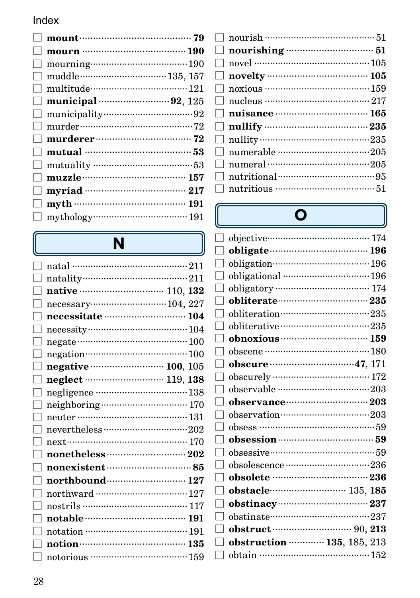|                | $mount \cdots$ 79                |  |
|----------------|----------------------------------|--|
|                | mourn ……………………………… 190           |  |
| $\Box$         |                                  |  |
|                |                                  |  |
| $\Box$         |                                  |  |
|                |                                  |  |
| $\mathbb{R}^n$ |                                  |  |
| $\Box$         |                                  |  |
| $\Box$         |                                  |  |
|                | $\Box$ mutual …………………………………………53 |  |
|                |                                  |  |
| $\Box$         |                                  |  |
| $\Box$         |                                  |  |
| $\Box$         |                                  |  |
| $\Box$         |                                  |  |

# $\overline{\mathsf{N}}$

| necessitate manual 104    |
|---------------------------|
|                           |
|                           |
| negation (100)            |
| negative  100, 105        |
|                           |
|                           |
|                           |
| neuter …………………………………… 131 |
|                           |
|                           |
|                           |
|                           |
| northbound (27            |
|                           |
|                           |
|                           |
|                           |
|                           |
|                           |
|                           |

|         | noxious ………………………………… 159                                        |  |
|---------|------------------------------------------------------------------|--|
|         |                                                                  |  |
|         | $\Box$ nuisance $\cdots$ $\cdots$ $\cdots$ $\cdots$ $\cdots$ 165 |  |
|         |                                                                  |  |
|         |                                                                  |  |
| $\perp$ | numerable ···································205                 |  |
|         |                                                                  |  |
|         |                                                                  |  |
|         |                                                                  |  |
|         |                                                                  |  |

U

# $\overline{\mathbf{O}}$

|                   | obligate manufactured 196                           |
|-------------------|-----------------------------------------------------|
| $\blacksquare$    | obligation……………………………… 196                          |
| $\mathbf{I}$      | obligational manufactured 196                       |
|                   |                                                     |
| H                 | obliterate 235                                      |
|                   | obliteration ···································235 |
|                   | obliterative ··································235  |
|                   |                                                     |
|                   |                                                     |
|                   |                                                     |
|                   |                                                     |
|                   |                                                     |
|                   |                                                     |
|                   |                                                     |
|                   |                                                     |
|                   | obsession manual 59                                 |
|                   |                                                     |
|                   | obsolescence ································236    |
| $\mathsf{L}$      |                                                     |
|                   | obstacle (135, 185                                  |
| $\vert \ \ \vert$ |                                                     |
|                   |                                                     |
|                   |                                                     |
|                   | obstruction  135, 185, 213                          |
| $\Box$            |                                                     |
|                   |                                                     |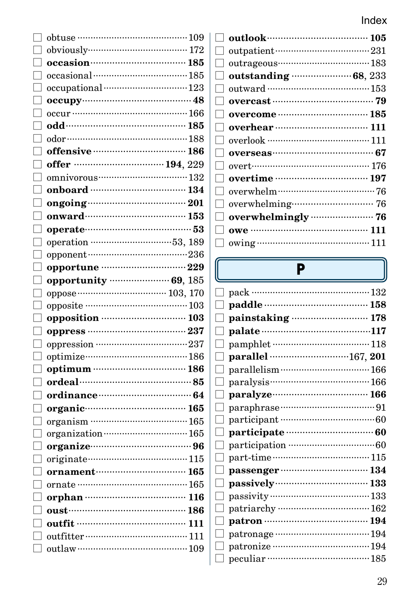|                   | $\begin{minipage}{.4\linewidth} \textbf{obtuse} \end{minipage} \begin{minipage}{.4\linewidth} \textbf{obs} \end{minipage} \begin{minipage}{.4\linewidth} \textbf{obs} \end{minipage} \begin{minipage}{.4\linewidth} \textbf{obs} \end{minipage} \begin{minipage}{.4\linewidth} \textbf{obs} \end{minipage} \begin{minipage}{.4\linewidth} \textbf{obs} \end{minipage} \begin{minipage}{.4\linewidth} \textbf{obs} \end{minipage} \begin{minipage}{.4\linewidth} \textbf{obs} \end{minipage} \begin{minipage}{.4\linewidth} \textbf{obs}$ |
|-------------------|------------------------------------------------------------------------------------------------------------------------------------------------------------------------------------------------------------------------------------------------------------------------------------------------------------------------------------------------------------------------------------------------------------------------------------------------------------------------------------------------------------------------------------------|
|                   | obviously (272)                                                                                                                                                                                                                                                                                                                                                                                                                                                                                                                          |
| $\vert \ \ \vert$ | occasion (185)                                                                                                                                                                                                                                                                                                                                                                                                                                                                                                                           |
| $\Box$            |                                                                                                                                                                                                                                                                                                                                                                                                                                                                                                                                          |
|                   |                                                                                                                                                                                                                                                                                                                                                                                                                                                                                                                                          |
|                   |                                                                                                                                                                                                                                                                                                                                                                                                                                                                                                                                          |
|                   |                                                                                                                                                                                                                                                                                                                                                                                                                                                                                                                                          |
|                   | odd………………………………… 185                                                                                                                                                                                                                                                                                                                                                                                                                                                                                                                     |
|                   |                                                                                                                                                                                                                                                                                                                                                                                                                                                                                                                                          |
|                   | offensive manufactured 186                                                                                                                                                                                                                                                                                                                                                                                                                                                                                                               |
|                   | offer  194, 229                                                                                                                                                                                                                                                                                                                                                                                                                                                                                                                          |
|                   |                                                                                                                                                                                                                                                                                                                                                                                                                                                                                                                                          |
| $\Box$            | onboard ………………………… 134                                                                                                                                                                                                                                                                                                                                                                                                                                                                                                                   |
|                   | $\omega$ ongoing $\cdots$ and $\omega$ and $\omega$ and $\omega$ and $\omega$ and $\omega$ and $\omega$ and $\omega$ and $\omega$ and $\omega$ and $\omega$ and $\omega$ and $\omega$ and $\omega$ and $\omega$ and $\omega$ and $\omega$ and $\omega$ and $\omega$ and $\omega$ and $\omega$ and $\omega$ and $\omega$ and                                                                                                                                                                                                              |
|                   |                                                                                                                                                                                                                                                                                                                                                                                                                                                                                                                                          |
| Г                 |                                                                                                                                                                                                                                                                                                                                                                                                                                                                                                                                          |
|                   |                                                                                                                                                                                                                                                                                                                                                                                                                                                                                                                                          |
|                   |                                                                                                                                                                                                                                                                                                                                                                                                                                                                                                                                          |
| П                 | opportune manual manual 229                                                                                                                                                                                                                                                                                                                                                                                                                                                                                                              |
|                   | opportunity  69, 185                                                                                                                                                                                                                                                                                                                                                                                                                                                                                                                     |
|                   |                                                                                                                                                                                                                                                                                                                                                                                                                                                                                                                                          |
|                   |                                                                                                                                                                                                                                                                                                                                                                                                                                                                                                                                          |
| П                 |                                                                                                                                                                                                                                                                                                                                                                                                                                                                                                                                          |
| П                 | oppress ……………………………… 237                                                                                                                                                                                                                                                                                                                                                                                                                                                                                                                 |
|                   | oppression ……………………………237                                                                                                                                                                                                                                                                                                                                                                                                                                                                                                                |
|                   | optimize manufactured 186                                                                                                                                                                                                                                                                                                                                                                                                                                                                                                                |
|                   |                                                                                                                                                                                                                                                                                                                                                                                                                                                                                                                                          |
|                   |                                                                                                                                                                                                                                                                                                                                                                                                                                                                                                                                          |
|                   |                                                                                                                                                                                                                                                                                                                                                                                                                                                                                                                                          |
|                   | organic 165                                                                                                                                                                                                                                                                                                                                                                                                                                                                                                                              |
|                   |                                                                                                                                                                                                                                                                                                                                                                                                                                                                                                                                          |
|                   |                                                                                                                                                                                                                                                                                                                                                                                                                                                                                                                                          |
|                   | organize manual 96                                                                                                                                                                                                                                                                                                                                                                                                                                                                                                                       |
|                   |                                                                                                                                                                                                                                                                                                                                                                                                                                                                                                                                          |
|                   | ornament………………………… 165                                                                                                                                                                                                                                                                                                                                                                                                                                                                                                                   |
|                   | ornate ……………………………………… 165                                                                                                                                                                                                                                                                                                                                                                                                                                                                                                               |
|                   |                                                                                                                                                                                                                                                                                                                                                                                                                                                                                                                                          |
| $\Box$            |                                                                                                                                                                                                                                                                                                                                                                                                                                                                                                                                          |
|                   | outfit ………………………………… 111                                                                                                                                                                                                                                                                                                                                                                                                                                                                                                                 |
|                   |                                                                                                                                                                                                                                                                                                                                                                                                                                                                                                                                          |
|                   |                                                                                                                                                                                                                                                                                                                                                                                                                                                                                                                                          |
|                   |                                                                                                                                                                                                                                                                                                                                                                                                                                                                                                                                          |

| outlook…………………………… 105         |
|--------------------------------|
| outpatient………………………………………… 231 |
|                                |
|                                |
|                                |
| overcast ……………………………… 79       |
|                                |
| overhear ………………………… 111        |
| overlook ……………………………… 111      |
|                                |
|                                |
|                                |
|                                |
|                                |
| overwhelmingly  76             |
| owe …………………………………… 111         |
|                                |

l

# $\overline{P}$

|        | pack ……………………………………… 132 |  |
|--------|--------------------------|--|
|        | paddle ……………………………… 158  |  |
|        | painstaking  178         |  |
|        |                          |  |
|        |                          |  |
|        | parallel 167, 201        |  |
|        |                          |  |
|        |                          |  |
|        |                          |  |
|        |                          |  |
| $\Box$ |                          |  |
|        |                          |  |
|        |                          |  |
|        |                          |  |
|        |                          |  |
|        |                          |  |
|        |                          |  |
|        |                          |  |
|        |                          |  |
|        |                          |  |
|        |                          |  |
|        |                          |  |
|        |                          |  |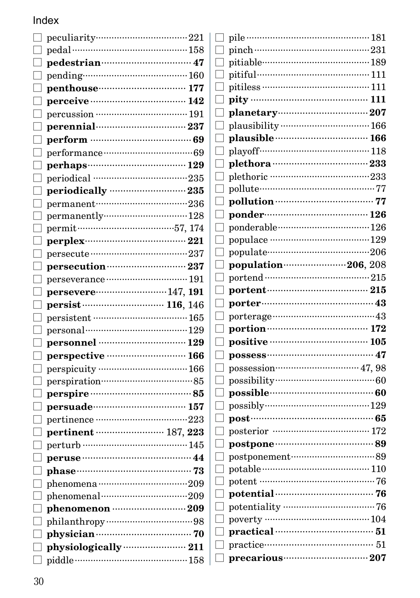#### Index  $\equiv$

|                   | peculiarity……………………………221                        |  |
|-------------------|--------------------------------------------------|--|
| ⊔                 | pedal ………………………………………158                         |  |
| L                 | pedestrian…………………………… 47                         |  |
| L                 |                                                  |  |
| n                 | penthouse <u></u> 177                            |  |
| П                 | perceive …………………………… 142                         |  |
| $\vert \ \ \vert$ | percussion …………………………… 191                       |  |
| L                 | perennial…………………………… 237                         |  |
| П                 | perform ………………………………… 69                         |  |
| LΠ                |                                                  |  |
| $\Box$            | perhaps…………………………… 129                           |  |
| $\Box$            | periodical ………………………………235                       |  |
| П                 |                                                  |  |
| Г                 | permanent……………………………236                          |  |
| $\mathbf{L}$      | permanently128                                   |  |
| П                 |                                                  |  |
| $\mathbf{L}$      |                                                  |  |
| Г                 |                                                  |  |
| П                 |                                                  |  |
| П                 |                                                  |  |
| ⊔                 |                                                  |  |
| $\mathbf{L}$      |                                                  |  |
| П                 |                                                  |  |
| LΠ                | personal………………………………129                          |  |
| $\Box$            | personnel ………………………… 129                         |  |
| $\vert \ \ \vert$ |                                                  |  |
| Г                 |                                                  |  |
| Г                 |                                                  |  |
| П                 | perspire ………………………………… 85                        |  |
| П                 | persuade…………………………… 157                          |  |
| $\Box$            | pertinence ………………………………223                       |  |
| $\mathbf{L}$      | pertinent …………………… 187, 223                      |  |
| Г                 | perturb ………………………………… 145                        |  |
| П                 | peruse ……………………………………… 44                        |  |
| $\Box$            |                                                  |  |
| $\vert \ \ \vert$ | phenomena ···································209 |  |
| Г                 | phenomenal manual control and 209                |  |
| $\Box$            |                                                  |  |
| П                 |                                                  |  |
| П                 |                                                  |  |
|                   | physiologically ······················ 211       |  |
| L                 |                                                  |  |

| I                 |                               |  |
|-------------------|-------------------------------|--|
| П                 |                               |  |
| $\Box$            | pitiable…………………………………189      |  |
| П                 | pitiful…………………………………… 111     |  |
| П                 | pitiless ………………………………………… 111 |  |
| □                 |                               |  |
| $\Box$            |                               |  |
| П                 |                               |  |
| П                 |                               |  |
| П                 |                               |  |
| П                 |                               |  |
| $\Box$            |                               |  |
| П                 |                               |  |
| П                 |                               |  |
| $\Box$            | ponder………………………………… 126       |  |
| $\Box$            | ponderable……………………………126      |  |
| □                 |                               |  |
| Г                 |                               |  |
| $\Box$            | population…………………206, 208     |  |
| $\Box$            |                               |  |
| $\Box$            |                               |  |
| $\vert \ \ \vert$ |                               |  |
| Г                 |                               |  |
| П                 |                               |  |
| $\Box$            | positive ……………………………… 105     |  |
| $\Box$            | possess……………………………… 47        |  |
| $\vert \ \ \vert$ |                               |  |
| П                 |                               |  |
| П                 |                               |  |
|                   |                               |  |
| $\Box$            | possible………………………………… 60      |  |
| $\Box$            |                               |  |
| П                 |                               |  |
| П                 |                               |  |
| П                 |                               |  |
| $\Box$            |                               |  |
| П                 | potable ……………………………………… 110   |  |
| П                 |                               |  |
| n                 |                               |  |
| П                 |                               |  |
| П                 |                               |  |
| П                 |                               |  |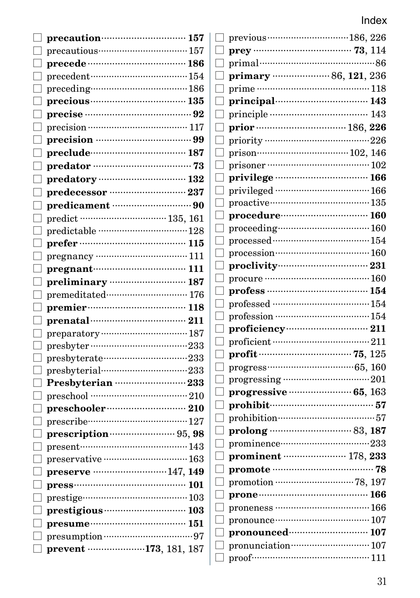| precaution manufactured 157                                                                  | previous                        |
|----------------------------------------------------------------------------------------------|---------------------------------|
| $\Box$ precautious…………………………… 157                                                            | $prey \cdots$                   |
| $\Box$ precede ………………………………… 186                                                             | $\Box$<br>primal                |
|                                                                                              | primary                         |
| $\Box$                                                                                       | $prime \cdots$                  |
|                                                                                              | L<br>principa                   |
|                                                                                              | I<br>principle                  |
|                                                                                              | prior ····<br>$\mathbf{L}$      |
|                                                                                              | priority ·<br>$\vert \ \ \vert$ |
|                                                                                              | $\mathsf{L}$<br>prison          |
|                                                                                              | $\Box$ prisoner                 |
|                                                                                              | $\Box$ privileg                 |
| $\Box$ predecessor ………………………… 237                                                            | privilege                       |
|                                                                                              | proactive                       |
| □ predict …………………………… 135, 161                                                               | procedu                         |
|                                                                                              | $\vert \ \ \vert$<br>proceedi   |
|                                                                                              | processe                        |
|                                                                                              | processic                       |
| $\Box$ pregnant $\cdots$ 111                                                                 | proclivi                        |
| $\Box$ preliminary  187                                                                      | procure ·                       |
| $\Box$ premeditated…………………………… 176                                                           | profess                         |
| $\Box$ premier <b>multiples</b> 118                                                          | professed                       |
|                                                                                              | professio                       |
| $\operatorname{preparatory}\cdots\cdots\cdots\cdots\cdots\cdots\cdots\cdots\cdots\cdots 187$ | proficie<br>$\mathsf{L}$        |
|                                                                                              | proficien                       |
|                                                                                              | $\mathbf{profit} \cdots$        |
| $\Box$ presbyterial………………………………233                                                           | $\Box$ progress                 |
|                                                                                              | progress:                       |
|                                                                                              | L<br>progres                    |
|                                                                                              | prohibit                        |
| $\Box$ prescribe………………………………127                                                              | prohibiti                       |
| prescription manually 95, 98                                                                 | prolong                         |
| □                                                                                            | prominer                        |
|                                                                                              | promine                         |
| $\Box$ preserve ……………………… 147, 149                                                           | promote                         |
|                                                                                              | promotio                        |
|                                                                                              | prone ···                       |
| $\Box$ prestigious <b>contracts</b> 103                                                      | pronenes                        |
|                                                                                              | pronouno                        |
|                                                                                              | pronour<br>pronunci             |
| $\Box$ prevent …………………173, 181, 187                                                          | $\Box$ proof $\cdots$           |
|                                                                                              |                                 |

| I |                                                                                                                                                                                                                                                                                                                                                                                                                                                                                                                                                                              |  |
|---|------------------------------------------------------------------------------------------------------------------------------------------------------------------------------------------------------------------------------------------------------------------------------------------------------------------------------------------------------------------------------------------------------------------------------------------------------------------------------------------------------------------------------------------------------------------------------|--|
| ∃ | primal…………………………………………86                                                                                                                                                                                                                                                                                                                                                                                                                                                                                                                                                     |  |
| J | primary manufactures 86, 121, 236                                                                                                                                                                                                                                                                                                                                                                                                                                                                                                                                            |  |
| ∃ |                                                                                                                                                                                                                                                                                                                                                                                                                                                                                                                                                                              |  |
| I |                                                                                                                                                                                                                                                                                                                                                                                                                                                                                                                                                                              |  |
| I | principal<br>principle<br>and 143                                                                                                                                                                                                                                                                                                                                                                                                                                                                                                                                            |  |
| J |                                                                                                                                                                                                                                                                                                                                                                                                                                                                                                                                                                              |  |
| I |                                                                                                                                                                                                                                                                                                                                                                                                                                                                                                                                                                              |  |
| 1 |                                                                                                                                                                                                                                                                                                                                                                                                                                                                                                                                                                              |  |
| 1 |                                                                                                                                                                                                                                                                                                                                                                                                                                                                                                                                                                              |  |
| J | privilege …………………………… 166                                                                                                                                                                                                                                                                                                                                                                                                                                                                                                                                                    |  |
| ∃ | privileged ……………………………… 166                                                                                                                                                                                                                                                                                                                                                                                                                                                                                                                                                  |  |
| I | $\begin{minipage}{.4\linewidth} \textbf{proactive} \begin{minipage}{.4\linewidth} \textbf{proactive} \end{minipage} \begin{minipage}{.4\linewidth} \textbf{proactive} \end{minipage} \begin{minipage}{.4\linewidth} \textbf{proactive} \end{minipage} \begin{minipage}{.4\linewidth} \textbf{proactive} \end{minipage} \begin{minipage}{.4\linewidth} \textbf{proactive} \end{minipage} \begin{minipage}{.4\linewidth} \textbf{proactive} \end{minipage} \begin{minipage}{.4\linewidth} \textbf{proactive} \end{minipage} \begin{minipage}{.4\linewidth} \textbf{proactive}$ |  |
| J | procedure………………………… 160                                                                                                                                                                                                                                                                                                                                                                                                                                                                                                                                                      |  |
| I |                                                                                                                                                                                                                                                                                                                                                                                                                                                                                                                                                                              |  |
| ] | $\, {\rm processed}\, \cdots\, \cdots\, \cdots\, \cdots\, \cdots\, \cdots\, \, 154$                                                                                                                                                                                                                                                                                                                                                                                                                                                                                          |  |
| J |                                                                                                                                                                                                                                                                                                                                                                                                                                                                                                                                                                              |  |
| J |                                                                                                                                                                                                                                                                                                                                                                                                                                                                                                                                                                              |  |
| ٦ |                                                                                                                                                                                                                                                                                                                                                                                                                                                                                                                                                                              |  |
| J | profess ……………………………… 154                                                                                                                                                                                                                                                                                                                                                                                                                                                                                                                                                     |  |
| ∃ |                                                                                                                                                                                                                                                                                                                                                                                                                                                                                                                                                                              |  |
| J | $\rm{profession}\,\,\,\,\,\,154$                                                                                                                                                                                                                                                                                                                                                                                                                                                                                                                                             |  |
| ∃ |                                                                                                                                                                                                                                                                                                                                                                                                                                                                                                                                                                              |  |
| I |                                                                                                                                                                                                                                                                                                                                                                                                                                                                                                                                                                              |  |
| I |                                                                                                                                                                                                                                                                                                                                                                                                                                                                                                                                                                              |  |
| ٦ |                                                                                                                                                                                                                                                                                                                                                                                                                                                                                                                                                                              |  |
| ] | $\operatorname{progressing}\cdots\cdots\cdots\cdots\cdots\cdots\cdots\cdots\cdots 201$                                                                                                                                                                                                                                                                                                                                                                                                                                                                                       |  |
| 1 | <b>progressive manually 65, 163</b>                                                                                                                                                                                                                                                                                                                                                                                                                                                                                                                                          |  |
| J | prohibit………………………………………57                                                                                                                                                                                                                                                                                                                                                                                                                                                                                                                                                    |  |
| ] |                                                                                                                                                                                                                                                                                                                                                                                                                                                                                                                                                                              |  |
| J |                                                                                                                                                                                                                                                                                                                                                                                                                                                                                                                                                                              |  |
| ∃ |                                                                                                                                                                                                                                                                                                                                                                                                                                                                                                                                                                              |  |
| ] | prominent ………………… 178, 233                                                                                                                                                                                                                                                                                                                                                                                                                                                                                                                                                   |  |
| 1 |                                                                                                                                                                                                                                                                                                                                                                                                                                                                                                                                                                              |  |
| ] |                                                                                                                                                                                                                                                                                                                                                                                                                                                                                                                                                                              |  |
| J |                                                                                                                                                                                                                                                                                                                                                                                                                                                                                                                                                                              |  |
| J | proneness ……………………………… 166                                                                                                                                                                                                                                                                                                                                                                                                                                                                                                                                                   |  |
| I | $pronounce \cdots \cdots \cdots \cdots \cdots \cdots \cdots \cdots \cdots \cdots 107$                                                                                                                                                                                                                                                                                                                                                                                                                                                                                        |  |
| J |                                                                                                                                                                                                                                                                                                                                                                                                                                                                                                                                                                              |  |
| ∃ |                                                                                                                                                                                                                                                                                                                                                                                                                                                                                                                                                                              |  |
| 1 |                                                                                                                                                                                                                                                                                                                                                                                                                                                                                                                                                                              |  |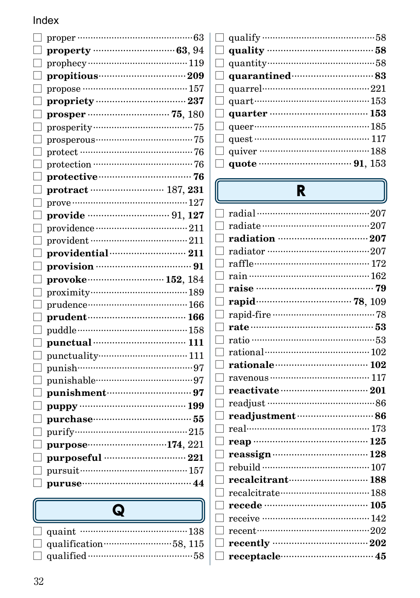|                   | propriety ……………………………………… 237 |  |
|-------------------|-------------------------------|--|
|                   | prosper ……………………… 75, 180     |  |
| $\vert \ \ \vert$ |                               |  |
|                   | $pros perous$ $15$            |  |
|                   |                               |  |
|                   |                               |  |
|                   | protective manufacturers 76   |  |
|                   | protract …………………… 187, 231    |  |
|                   |                               |  |
|                   |                               |  |
|                   |                               |  |
|                   |                               |  |
|                   | providential manual 211       |  |
|                   | provision ………………………………… 91    |  |
| $\Box$            |                               |  |
| L<br>J            |                               |  |
| $\Box$            |                               |  |
| $\Box$            |                               |  |
| Г                 |                               |  |
| П                 |                               |  |
| Г                 | punctuality…………………………… 111    |  |
| Г<br>٦            |                               |  |
| П                 | punishable………………………………97      |  |
| П                 |                               |  |
| L                 | puppy …………………………………… 199      |  |
| L                 |                               |  |
| L                 |                               |  |
| $\mathbb{L}$      |                               |  |
|                   | purposeful ……………………… 221      |  |
|                   | pursuit…………………………………… 157     |  |
| L                 |                               |  |
|                   |                               |  |

# $\overline{\mathbf{Q}}$

| qualification $\cdots$ 58, 115 |
|--------------------------------|
|                                |

| $\Box$ quality $\cdots$ 58                                                                                                                                                                                                                                                                                                              |  |
|-----------------------------------------------------------------------------------------------------------------------------------------------------------------------------------------------------------------------------------------------------------------------------------------------------------------------------------------|--|
|                                                                                                                                                                                                                                                                                                                                         |  |
|                                                                                                                                                                                                                                                                                                                                         |  |
| $\Box$ quarrel $\Box$ and $221$                                                                                                                                                                                                                                                                                                         |  |
|                                                                                                                                                                                                                                                                                                                                         |  |
| $\Box$ quarter …………………………………… 153                                                                                                                                                                                                                                                                                                       |  |
|                                                                                                                                                                                                                                                                                                                                         |  |
| $\Box$ quest $\cdots$ $\cdots$ $\cdots$ $\cdots$ $\cdots$ $\cdots$ $\cdots$ $\cdots$ $\cdots$ $\cdots$ $\cdots$ $\cdots$ $\cdots$ $\cdots$ $\cdots$ $\cdots$ $\cdots$ $\cdots$ $\cdots$ $\cdots$ $\cdots$ $\cdots$ $\cdots$ $\cdots$ $\cdots$ $\cdots$ $\cdots$ $\cdots$ $\cdots$ $\cdots$ $\cdots$ $\cdots$ $\cdots$ $\cdots$ $\cdots$ |  |
| quiver $\cdots$ and 188                                                                                                                                                                                                                                                                                                                 |  |
| $\Box$ quote $\cdots$ 91, 153                                                                                                                                                                                                                                                                                                           |  |

| R                           |
|-----------------------------|
| radial ………………………………………207   |
|                             |
|                             |
| radiator …………………………………207   |
| raffle………………………………… 172     |
|                             |
| raise ……………………………………… 79    |
|                             |
|                             |
|                             |
| ratio ………………………………………53     |
|                             |
| rationale (2008) 102        |
| ravenous ………………………………… 117  |
| reactivate manufactured 201 |
|                             |
| readjustment (1997) 86      |
| real……………………………………… 173     |
| reap …………………………………… 125     |
|                             |
|                             |
| recalcitrant (188)          |
|                             |
| recede ……………………………… 105     |
|                             |
| recent……………………………………202     |
|                             |
|                             |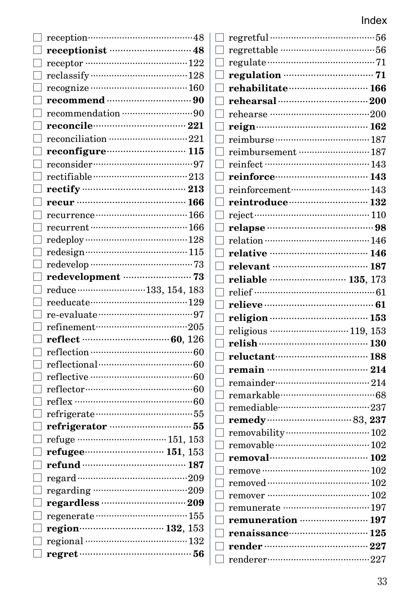| reception…………………………………48                          |
|---------------------------------------------------|
|                                                   |
| receptor ………………………………… 122                        |
|                                                   |
|                                                   |
| recommend …………………………… 90                          |
|                                                   |
|                                                   |
| reconciliation ·······························221 |
| reconfigure manual 115                            |
| reconsider………………………………97                          |
|                                                   |
|                                                   |
|                                                   |
|                                                   |
| recurrent ……………………………… 166                        |
|                                                   |
|                                                   |
|                                                   |
| redevelopment ···························· 73     |
| reduce 133, 154, 183                              |
|                                                   |
|                                                   |
| $refinement$ $205$                                |
|                                                   |
|                                                   |
| reflectional………………………………………60                     |
|                                                   |
|                                                   |
|                                                   |
|                                                   |
| refrigerator ··································55 |
|                                                   |
| refugee……………………… 151, 153                         |
| refund ……………………………… 187                           |
|                                                   |
|                                                   |
|                                                   |
|                                                   |
|                                                   |
| regional ………………………………… 132                        |
|                                                   |

| rehabilitate (166)             |  |
|--------------------------------|--|
|                                |  |
| ┐                              |  |
|                                |  |
|                                |  |
| reimbursement ……………………… 187    |  |
| reinfect ……………………………… 143      |  |
|                                |  |
| reinforcement……………………… 143     |  |
| reintroduce manufacture 132    |  |
| $reject$ $110$                 |  |
| П                              |  |
| $\Box$                         |  |
| ٦                              |  |
| relevant …………………………… 187       |  |
| reliable  135, 173             |  |
|                                |  |
| relieve ………………………………… 61       |  |
|                                |  |
| religious  119, 153            |  |
|                                |  |
| reluctant…………………………… 188<br>٦  |  |
| П                              |  |
| ۰                              |  |
| remarkable………………………………68<br>٦  |  |
| remediable……………………………237       |  |
| П                              |  |
|                                |  |
|                                |  |
|                                |  |
|                                |  |
| removed ………………………………… 102      |  |
| remover ………………………………… 102<br>1 |  |
|                                |  |
| remuneration  197              |  |
| renaissance 125                |  |
|                                |  |
|                                |  |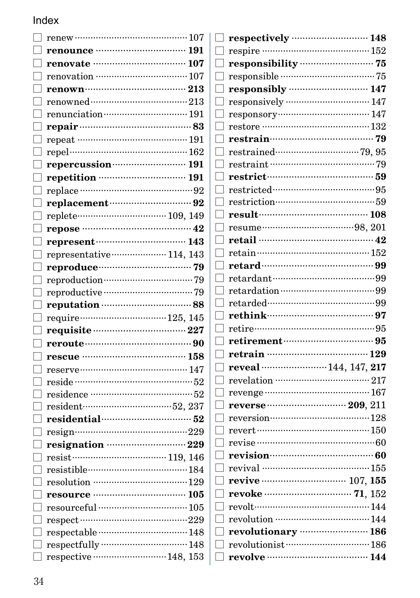| П                 | renew ……………………………………… 107     |
|-------------------|-------------------------------|
|                   |                               |
|                   | renovate ………………………… 107       |
|                   |                               |
| П                 |                               |
| П                 |                               |
| П                 | renunciation manuscrime 191   |
|                   |                               |
| $\vert \ \ \vert$ | repeat ………………………………… 191      |
|                   | repel……………………………………… 162      |
| П                 | repercussion (2011) 191       |
|                   |                               |
|                   |                               |
| П                 | replacement manual 92         |
| $\Box$            |                               |
| $\Box$            | repose ………………………………… 42       |
| П                 | represent manual 143          |
| $\Box$            | representative……………… 114, 143 |
| П                 |                               |
| $\vert \ \ \vert$ |                               |
|                   |                               |
|                   |                               |
| П                 |                               |
| $\vert \ \ \vert$ | requisite manual manual 227   |
|                   |                               |
| ГΙ                |                               |
|                   |                               |
| $\Box$            | reside ………………………………………52      |
|                   |                               |
|                   | resident……………………………52, 237    |
|                   | residential manual 52         |
|                   |                               |
| $\Box$            | resignation manually 229      |
| $\Box$            |                               |
|                   | resistible………………………………184     |
|                   | resolution ……………………………129     |
| $\Box$            | resource …………………………… 105      |
|                   | resourceful …………………………… 105   |
|                   | respect ……………………………………229     |
|                   | respectable…………………………… 148    |
| П                 |                               |
| $\Box$            | respective  148, 153          |

| respectively manufactured 148                     |
|---------------------------------------------------|
| $\Box$ respire ………………………………………… 152               |
| П.                                                |
|                                                   |
| responsibly <b>contract to the 147</b>            |
|                                                   |
|                                                   |
|                                                   |
|                                                   |
|                                                   |
|                                                   |
|                                                   |
|                                                   |
| restriction…………………………………59                        |
| result (108)                                      |
|                                                   |
| retail …………………………………………42                         |
|                                                   |
|                                                   |
| retardant…………………………………99                          |
|                                                   |
|                                                   |
|                                                   |
| retire………………………………………95                           |
|                                                   |
|                                                   |
| reveal …………………… 144, 147, 217                     |
|                                                   |
|                                                   |
|                                                   |
|                                                   |
|                                                   |
|                                                   |
|                                                   |
| revival ………………………………… 155                         |
| revive ································· 107, 155 |
|                                                   |
| revolt……………………………………144                           |
| revolution ……………………………… 144                       |
| revolutionary manufactured 186                    |
|                                                   |
| revolve …………………………… 144                           |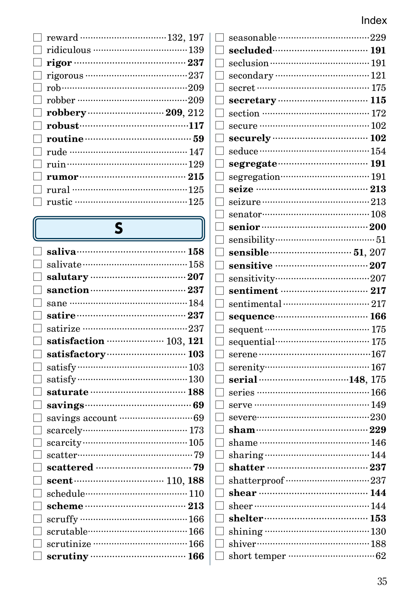| П                       |                                                                                                                                                                                                                                                                       |  |
|-------------------------|-----------------------------------------------------------------------------------------------------------------------------------------------------------------------------------------------------------------------------------------------------------------------|--|
|                         |                                                                                                                                                                                                                                                                       |  |
|                         |                                                                                                                                                                                                                                                                       |  |
|                         |                                                                                                                                                                                                                                                                       |  |
|                         | $\Box$ robust $\cdots$ robust $\Box$ robust $\cdots$ and $\Box$ robust $\Box$ and $\Box$ robust $\Box$ robust $\Box$ robust $\Box$ robust $\Box$ robust $\Box$ robust $\Box$ robust $\Box$ robust $\Box$ robust $\Box$ robust $\Box$ robust $\Box$ robust $\Box$ robu |  |
|                         |                                                                                                                                                                                                                                                                       |  |
|                         | $\Box$ rude ……………………………………… 147                                                                                                                                                                                                                                       |  |
|                         | $\Box$ ruin $\cdots$ and $\cdots$ 129                                                                                                                                                                                                                                 |  |
|                         |                                                                                                                                                                                                                                                                       |  |
|                         |                                                                                                                                                                                                                                                                       |  |
| $\mathbf{L}$<br>H<br>H. |                                                                                                                                                                                                                                                                       |  |

# $\overline{\mathbf{S}}$

| saliva……………………………… 158       |
|------------------------------|
|                              |
| salutary manufactured 207    |
|                              |
|                              |
|                              |
|                              |
| satisfaction ……………… 103, 121 |
| satisfactory 103             |
|                              |
|                              |
| saturate …………………………… 188     |
|                              |
|                              |
|                              |
|                              |
|                              |
|                              |
| scent (2001) 110, 188        |
| schedule………………………………… 110    |
|                              |
|                              |
| scrutable……………………………… 166    |
|                              |
|                              |
|                              |

| seasonable ……………………………………229 |  |
|------------------------------|--|
|                              |  |
|                              |  |
|                              |  |
| secret …………………………………… 175    |  |
|                              |  |
|                              |  |
|                              |  |
|                              |  |
|                              |  |
|                              |  |
|                              |  |
| seize ……………………………………… 213    |  |
|                              |  |
| $senator$ $108$              |  |
|                              |  |
|                              |  |
| sensible (207) 51, 207       |  |
|                              |  |
|                              |  |
| sentiment manual 217         |  |
|                              |  |
|                              |  |
|                              |  |
| sequential…………………………… 175    |  |
|                              |  |
|                              |  |
| serial 148, 175              |  |
|                              |  |
| serve …………………………………… 149     |  |
|                              |  |
|                              |  |
|                              |  |
| sharing $\cdots$ 144         |  |
|                              |  |
|                              |  |
|                              |  |
| sheer ……………………………………… 144    |  |
| shelter (153)                |  |
|                              |  |
|                              |  |
| short temper                 |  |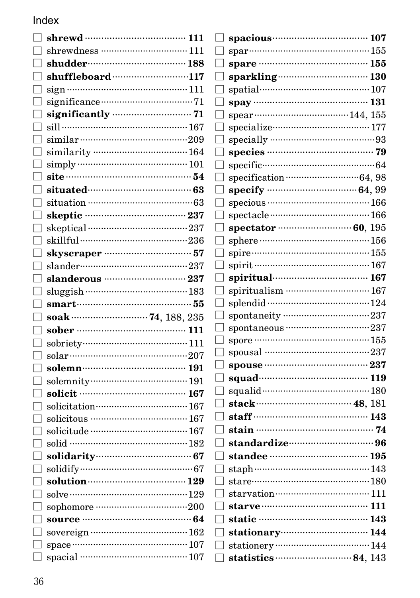|                                                  | 111 |
|--------------------------------------------------|-----|
|                                                  |     |
|                                                  |     |
| shuffleboard 117                                 |     |
|                                                  |     |
|                                                  |     |
|                                                  |     |
|                                                  |     |
|                                                  |     |
|                                                  |     |
|                                                  |     |
|                                                  |     |
|                                                  |     |
|                                                  |     |
|                                                  |     |
|                                                  |     |
|                                                  |     |
|                                                  |     |
|                                                  |     |
|                                                  |     |
|                                                  |     |
|                                                  |     |
|                                                  |     |
| soak ……………………… 74, 188, 235                      |     |
| sober ………………………………… 111                          |     |
|                                                  |     |
|                                                  |     |
|                                                  |     |
|                                                  |     |
| solicit ………………………………… 167                        |     |
|                                                  |     |
|                                                  |     |
|                                                  |     |
| solid ……………………………………… 182                        |     |
|                                                  |     |
|                                                  |     |
| solution (29)                                    |     |
|                                                  |     |
| sophomore ···································200 |     |
| source ………………………………… 64                          |     |
|                                                  |     |
|                                                  |     |

|        | spare ………………………………… 155                                                  |
|--------|--------------------------------------------------------------------------|
|        |                                                                          |
|        | spatial…………………………………… 107                                                |
|        | spay ……………………………………… 131                                                 |
|        |                                                                          |
|        |                                                                          |
|        |                                                                          |
|        |                                                                          |
|        |                                                                          |
|        |                                                                          |
|        |                                                                          |
|        |                                                                          |
|        |                                                                          |
|        |                                                                          |
|        |                                                                          |
|        |                                                                          |
|        |                                                                          |
|        | spiritual 167                                                            |
|        | spiritualism  167                                                        |
|        |                                                                          |
|        | spontaneity ………………………………237                                              |
|        | spontaneous ··································237                        |
|        |                                                                          |
|        |                                                                          |
|        | spouse ………………………………… 237                                                 |
|        | squad (19)                                                               |
|        |                                                                          |
|        |                                                                          |
|        |                                                                          |
|        | $\Box$ stain $\cdots$ 74                                                 |
|        | $\Box$ standardize $\cdots$ $\cdots$ $\cdots$ $\cdots$ $\cdots$ $\cdots$ |
|        |                                                                          |
| $\Box$ |                                                                          |
|        |                                                                          |
|        |                                                                          |
|        |                                                                          |
|        | $\Box$ static ………………………………… 143                                          |
|        | $\Box$ stationary $\Box$ 144                                             |
|        | □ stationery ………………………………… 144                                           |
|        |                                                                          |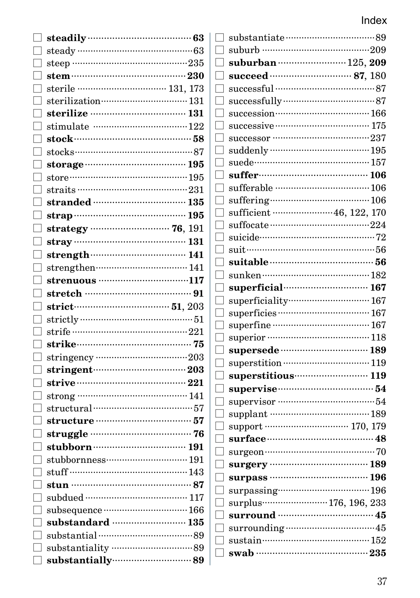| steadily manufactured 63           |              | suburb …………………………………………209                     |  |
|------------------------------------|--------------|------------------------------------------------|--|
| steep …………………………………………235          |              |                                                |  |
|                                    |              | succeed ………………………… 87, 180                     |  |
|                                    |              |                                                |  |
|                                    |              |                                                |  |
| sterilization manufactured and 131 |              | successfully model and 87                      |  |
|                                    |              | succession…………………………… 166                      |  |
|                                    | $\mathsf{L}$ |                                                |  |
|                                    |              | successor …………………………………237                     |  |
|                                    |              |                                                |  |
|                                    |              | suede………………………………………… 157                      |  |
|                                    |              |                                                |  |
|                                    |              | sufferable ………………………………… 106                   |  |
| stranded …………………………… 135           |              |                                                |  |
|                                    |              | sufficient ·······················46, 122, 170 |  |
|                                    |              |                                                |  |
|                                    |              |                                                |  |
|                                    |              |                                                |  |
| strengthen…………………………… 141          |              |                                                |  |
| strenuous …………………………117            |              |                                                |  |
|                                    |              | superficial 167                                |  |
|                                    |              | superficiality………………………… 167                   |  |
|                                    |              |                                                |  |
|                                    |              | superfine …………………………………… 167                   |  |
|                                    |              |                                                |  |
|                                    |              | supersede manufactured 189                     |  |
|                                    |              |                                                |  |
| stringent $\cdots$ 203             |              | superstitious 119                              |  |
| strive $\cdots$ 221                |              | supervise manufactured 54                      |  |
| strong …………………………………… 141          |              |                                                |  |
| structural …………………………………………57      |              | supplant ………………………………… 189                     |  |
| structure manufacture 57           |              | support ………………………… 170, 179                    |  |
|                                    |              | surface ……………………………………… 48                     |  |
|                                    |              |                                                |  |
|                                    |              | surgery ………………………………… 189                      |  |
| stuff ……………………………………… 143          |              | surpass …………………………… 196                        |  |
| stun ……………………………………… 87            |              |                                                |  |
| subdued ………………………………… 117          |              |                                                |  |
| subsequence momentum 166           |              | surround ……………………………… 45                       |  |
| substandard  135                   |              |                                                |  |
|                                    |              | sustain…………………………………… 152                      |  |
|                                    |              |                                                |  |
|                                    |              | swab …………………………………… 235                        |  |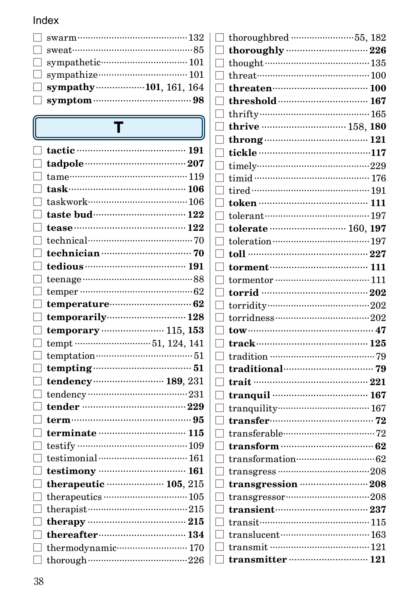| $\Box$ sympathy 101, 161, 164 |
|-------------------------------|
|                               |

T

Г I  $\overline{1}$ 

 $[$  $\overline{a}$  $[$  $[$  $\overline{1}$ ſ ſ  $\overline{1}$ ſ  $\sqrt{2}$ ſ ſ  $\overline{1}$ I

ſ  $\overline{1}$  $\sqrt{2}$ ſ  $\overline{1}$ I Г I

 $\overline{1}$ 

 $\overline{1}$ ſ Г  $\begin{bmatrix} \phantom{-} \end{bmatrix}$  $[$  $[$  $\begin{bmatrix} \phantom{-} \end{bmatrix}$  $\begin{bmatrix} \phantom{-} \end{bmatrix}$ 

| tame………………………………………… 119<br>taskwork……………………………… 106<br>tease $122$<br>temperature………………………… 62 |
|-------------------------------------------------------------------------------------------------|
|                                                                                                 |
|                                                                                                 |
|                                                                                                 |
|                                                                                                 |
|                                                                                                 |
|                                                                                                 |
|                                                                                                 |
|                                                                                                 |
|                                                                                                 |
|                                                                                                 |
|                                                                                                 |
|                                                                                                 |
|                                                                                                 |
| temporarily 128                                                                                 |
| temporary ····················· 115, 153                                                        |
| tempt 51, 124, 141                                                                              |
| temptation………………………………………51                                                                     |
| tempting $\cdots$ 51                                                                            |
| tendency ························ 189, 231                                                      |
|                                                                                                 |
| tender ……………………………… 229                                                                         |
| term………………………………………………95                                                                        |
|                                                                                                 |
|                                                                                                 |
|                                                                                                 |
| testimony manufactured 161                                                                      |
| therapeutic $\cdots$ 105, 215                                                                   |
|                                                                                                 |
| therapist $\cdots$ 215                                                                          |
|                                                                                                 |
| thereafter………………………… 134                                                                        |
| thermodynamic·························· 170                                                     |
|                                                                                                 |
|                                                                                                 |

| though 135                         |              |
|------------------------------------|--------------|
|                                    |              |
| $three$ threaten $\cdots$ $100$    |              |
|                                    | 167          |
|                                    |              |
| thrive  158, 180                   |              |
| throng $\cdots$ 121                |              |
|                                    |              |
|                                    |              |
|                                    |              |
| tired ……………………………………… 191          |              |
|                                    |              |
| tolerant…………………………………197           |              |
|                                    |              |
|                                    |              |
|                                    |              |
|                                    |              |
|                                    |              |
|                                    |              |
|                                    |              |
|                                    |              |
|                                    |              |
| track………………………………… 125             |              |
|                                    |              |
| traditional manual resources 79    |              |
|                                    |              |
|                                    |              |
|                                    |              |
| $transfer$ $12$                    |              |
|                                    |              |
|                                    |              |
| transformation…………………………… 62       |              |
|                                    |              |
|                                    |              |
| $transgression$ $208$              |              |
| transient…………………………                | $\cdot\,237$ |
|                                    |              |
| $translucent$ $$ $$ $$ $$ $$ $163$ |              |
|                                    | $\cdots$ 121 |
|                                    | 121          |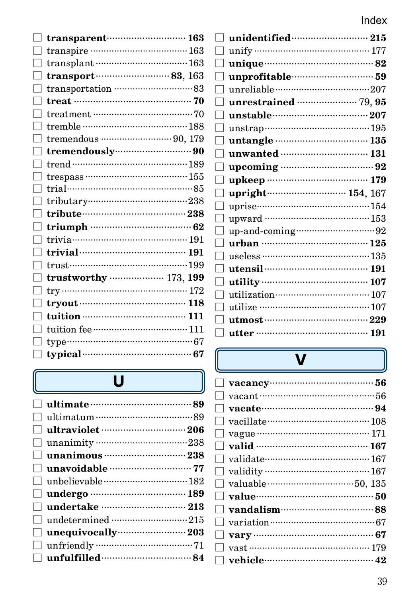| transparent……………………… 163                                                                                                                                                                                                           |  |
|------------------------------------------------------------------------------------------------------------------------------------------------------------------------------------------------------------------------------------|--|
|                                                                                                                                                                                                                                    |  |
| $transplant$ $163$                                                                                                                                                                                                                 |  |
| $transport$ $83, 163$                                                                                                                                                                                                              |  |
| transportation …………………………83                                                                                                                                                                                                        |  |
| treat $\cdots$ 70                                                                                                                                                                                                                  |  |
|                                                                                                                                                                                                                                    |  |
| tremble …………………………………188                                                                                                                                                                                                           |  |
|                                                                                                                                                                                                                                    |  |
| tremendously (1990)                                                                                                                                                                                                                |  |
|                                                                                                                                                                                                                                    |  |
| $t$ respass ………………………………… 155                                                                                                                                                                                                      |  |
| trial……………………………………………85                                                                                                                                                                                                           |  |
|                                                                                                                                                                                                                                    |  |
|                                                                                                                                                                                                                                    |  |
|                                                                                                                                                                                                                                    |  |
|                                                                                                                                                                                                                                    |  |
| trivial <b>contracts</b> and the set of the set of the set of the set of the set of the set of the set of the set of the set of the set of the set of the set of the set of the set of the set of the set of the set of the set of |  |
|                                                                                                                                                                                                                                    |  |
| trustworthy ……………… 173, 199                                                                                                                                                                                                        |  |
|                                                                                                                                                                                                                                    |  |
|                                                                                                                                                                                                                                    |  |
| tuition ………………………………… 111                                                                                                                                                                                                          |  |
|                                                                                                                                                                                                                                    |  |
|                                                                                                                                                                                                                                    |  |
|                                                                                                                                                                                                                                    |  |
|                                                                                                                                                                                                                                    |  |

# $\overline{u}$

| $\Box$ ultimate $\cdots$            |  |
|-------------------------------------|--|
|                                     |  |
|                                     |  |
|                                     |  |
|                                     |  |
|                                     |  |
|                                     |  |
|                                     |  |
|                                     |  |
|                                     |  |
| $\Box$ unequivocally $\cdots$ $203$ |  |
|                                     |  |
| $\Box$ unfulfilled $\cdots$         |  |
|                                     |  |

| unify $\cdots$ 177                |  |
|-----------------------------------|--|
|                                   |  |
| unprofitable………………………59           |  |
|                                   |  |
| unrestrained manufacturers 79, 95 |  |
|                                   |  |
|                                   |  |
| untangle …………………………… 135          |  |
| unwanted  131                     |  |
| upcoming manuscriptures 92        |  |
| upkeep …………………………… 179            |  |
|                                   |  |
| upright 154, 167                  |  |
| $uprise$ $154$                    |  |
| upward ………………………………… 153          |  |
|                                   |  |
|                                   |  |
| useless …………………………………… 135        |  |
|                                   |  |
|                                   |  |
|                                   |  |
|                                   |  |
|                                   |  |

 $\lceil$  $\overline{\phantom{a}}$  $[$  $\overline{a}$  $\overline{a}$ 

r  $\overline{1}$ 

ſ ſ f  $\sqrt{2}$ 

 $\sqrt{2}$ 

 $\sqrt{2}$ ſ

 $\sqrt{2}$  $\overline{1}$  $[$  $[$ 

l

# $\overline{\mathbf{V}}$

| $\Box$ vacancy $\cdots$                                |
|--------------------------------------------------------|
|                                                        |
|                                                        |
| vacillate $\cdots$ and $\cdots$ and $\cdots$<br>$\Box$ |
|                                                        |
|                                                        |
|                                                        |
|                                                        |
|                                                        |
|                                                        |
|                                                        |
|                                                        |
|                                                        |
|                                                        |
|                                                        |